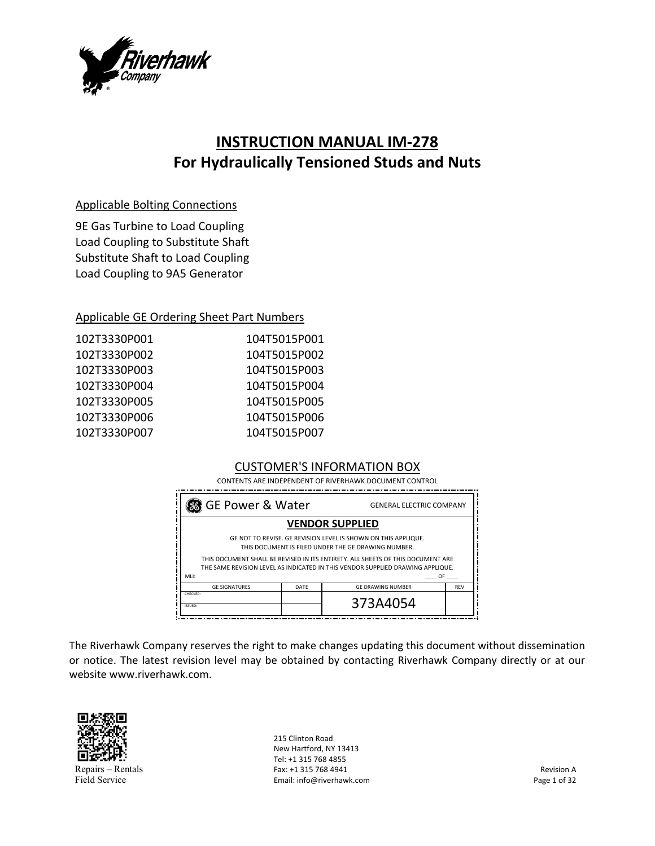

# **INSTRUCTION MANUAL IM‐278 For Hydraulically Tensioned Studs and Nuts**

## Applicable Bolting Connections

9E Gas Turbine to Load Coupling Load Coupling to Substitute Shaft Substitute Shaft to Load Coupling Load Coupling to 9A5 Generator

## Applicable GE Ordering Sheet Part Numbers

| 104T5015P002 |
|--------------|
| 104T5015P003 |
| 104T5015P004 |
| 104T5015P005 |
| 104T5015P006 |
| 104T5015P007 |
|              |

# CUSTOMER'S INFORMATION BOX

 CONTENTS ARE INDEPENDENT OF RIVERHAWK DOCUMENT CONTROL

| <b>88</b> GE Power & Water                                                                                                                                        |      | <b>GENERAL ELECTRIC COMPANY</b> |            |
|-------------------------------------------------------------------------------------------------------------------------------------------------------------------|------|---------------------------------|------------|
|                                                                                                                                                                   |      | <b>VENDOR SUPPLIED</b>          |            |
| GE NOT TO REVISE. GE REVISION LEVEL IS SHOWN ON THIS APPLIQUE.<br>THIS DOCUMENT IS FILED UNDER THE GE DRAWING NUMBER.                                             |      |                                 |            |
| THIS DOCUMENT SHALL BE REVISED IN ITS ENTIRETY. ALL SHEETS OF THIS DOCUMENT ARE<br>THE SAME REVISION LEVEL AS INDICATED IN THIS VENDOR SUPPLIED DRAWING APPLIQUE. |      |                                 |            |
| MLI:<br>0F                                                                                                                                                        |      |                                 |            |
| <b>GE SIGNATURES</b>                                                                                                                                              | DATE | <b>GE DRAWING NUMBER</b>        | <b>REV</b> |
| CHECKED:<br>ISSUED:                                                                                                                                               |      | 373A4054                        |            |

The Riverhawk Company reserves the right to make changes updating this document without dissemination or notice. The latest revision level may be obtained by contacting Riverhawk Company directly or at our website www.riverhawk.com.



Repairs – Rentals Field Service

215 Clinton Road New Hartford, NY 13413 Tel: +1 315 768 4855 Fax: +1 315 768 4941 Email: info@riverhawk.com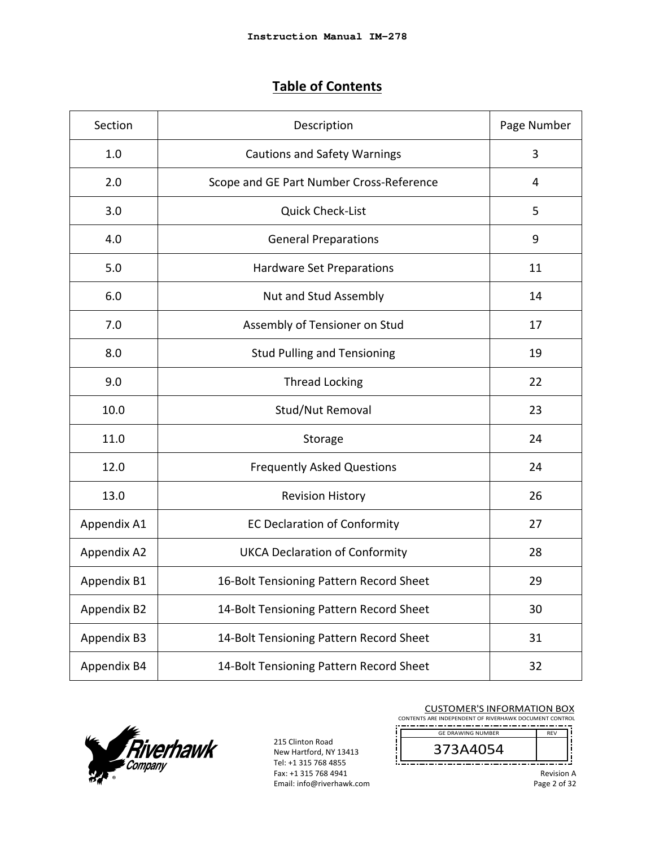# **Table of Contents**

| Section     | Description                              | Page Number |
|-------------|------------------------------------------|-------------|
| 1.0         | <b>Cautions and Safety Warnings</b>      | 3           |
| 2.0         | Scope and GE Part Number Cross-Reference | 4           |
| 3.0         | <b>Quick Check-List</b>                  | 5           |
| 4.0         | <b>General Preparations</b>              | 9           |
| 5.0         | <b>Hardware Set Preparations</b>         | 11          |
| 6.0         | Nut and Stud Assembly                    | 14          |
| 7.0         | Assembly of Tensioner on Stud            | 17          |
| 8.0         | <b>Stud Pulling and Tensioning</b>       | 19          |
| 9.0         | <b>Thread Locking</b>                    | 22          |
| 10.0        | Stud/Nut Removal                         | 23          |
| 11.0        | Storage                                  | 24          |
| 12.0        | <b>Frequently Asked Questions</b>        | 24          |
| 13.0        | <b>Revision History</b>                  | 26          |
| Appendix A1 | <b>EC Declaration of Conformity</b>      | 27          |
| Appendix A2 | <b>UKCA Declaration of Conformity</b>    | 28          |
| Appendix B1 | 16-Bolt Tensioning Pattern Record Sheet  | 29          |
| Appendix B2 | 14-Bolt Tensioning Pattern Record Sheet  | 30          |
| Appendix B3 | 14-Bolt Tensioning Pattern Record Sheet  | 31          |
| Appendix B4 | 14-Bolt Tensioning Pattern Record Sheet  | 32          |



215 Clinton Road New Hartford, NY 13413 Tel: +1 315 768 4855 Fax: +1 315 768 4941 Email: info@riverhawk.com

CUSTOMER'S INFORMATION BOX CONTENTS ARE INDEPENDENT OF RIVERHAWK DOCUMENT CONTROL

--------------------------- $\frac{1}{REV}$ GE DRAWING NUMBER

373A4054

Ţ

׀׀<br>׀ׇׇׇׇ֦֦֦֓֡֬ Revision A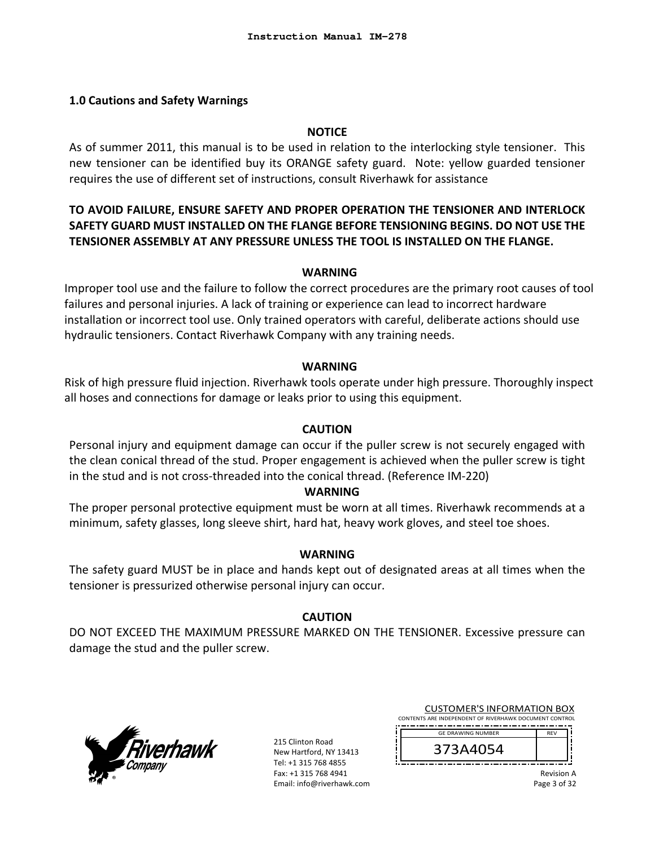#### **1.0 Cautions and Safety Warnings**

#### **NOTICE**

As of summer 2011, this manual is to be used in relation to the interlocking style tensioner. This new tensioner can be identified buy its ORANGE safety guard. Note: yellow guarded tensioner requires the use of different set of instructions, consult Riverhawk for assistance

# **TO AVOID FAILURE, ENSURE SAFETY AND PROPER OPERATION THE TENSIONER AND INTERLOCK SAFETY GUARD MUST INSTALLED ON THE FLANGE BEFORE TENSIONING BEGINS. DO NOT USE THE TENSIONER ASSEMBLY AT ANY PRESSURE UNLESS THE TOOL IS INSTALLED ON THE FLANGE.**

#### **WARNING**

Improper tool use and the failure to follow the correct procedures are the primary root causes of tool failures and personal injuries. A lack of training or experience can lead to incorrect hardware installation or incorrect tool use. Only trained operators with careful, deliberate actions should use hydraulic tensioners. Contact Riverhawk Company with any training needs.

#### **WARNING**

Risk of high pressure fluid injection. Riverhawk tools operate under high pressure. Thoroughly inspect all hoses and connections for damage or leaks prior to using this equipment.

#### **CAUTION**

Personal injury and equipment damage can occur if the puller screw is not securely engaged with the clean conical thread of the stud. Proper engagement is achieved when the puller screw is tight in the stud and is not cross‐threaded into the conical thread. (Reference IM‐220)

#### **WARNING**

The proper personal protective equipment must be worn at all times. Riverhawk recommends at a minimum, safety glasses, long sleeve shirt, hard hat, heavy work gloves, and steel toe shoes.

#### **WARNING**

The safety guard MUST be in place and hands kept out of designated areas at all times when the tensioner is pressurized otherwise personal injury can occur.

#### **CAUTION**

DO NOT EXCEED THE MAXIMUM PRESSURE MARKED ON THE TENSIONER. Excessive pressure can damage the stud and the puller screw.



215 Clinton Road New Hartford, NY 13413 Tel: +1 315 768 4855 Fax: +1 315 768 4941 Email: info@riverhawk.com

| <b>CUSTOMER'S INFORMATION BOX</b>                      |            |  |
|--------------------------------------------------------|------------|--|
| CONTENTS ARE INDEPENDENT OF RIVERHAWK DOCUMENT CONTROL |            |  |
| <b>GE DRAWING NUMBER</b>                               | <b>RFV</b> |  |
| 373A4054                                               |            |  |

Revision A

Page 3 of 32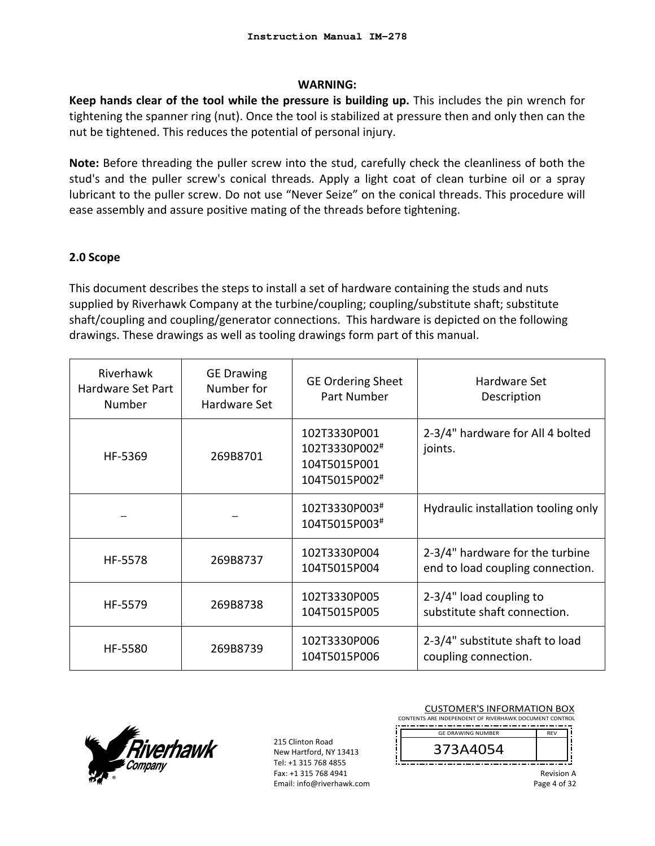#### **WARNING:**

**Keep hands clear of the tool while the pressure is building up.** This includes the pin wrench for tightening the spanner ring (nut). Once the tool is stabilized at pressure then and only then can the nut be tightened. This reduces the potential of personal injury.

**Note:** Before threading the puller screw into the stud, carefully check the cleanliness of both the stud's and the puller screw's conical threads. Apply a light coat of clean turbine oil or a spray lubricant to the puller screw. Do not use "Never Seize" on the conical threads. This procedure will ease assembly and assure positive mating of the threads before tightening.

## **2.0 Scope**

This document describes the steps to install a set of hardware containing the studs and nuts supplied by Riverhawk Company at the turbine/coupling; coupling/substitute shaft; substitute shaft/coupling and coupling/generator connections. This hardware is depicted on the following drawings. These drawings as well as tooling drawings form part of this manual.

| Riverhawk<br>Hardware Set Part<br>Number | <b>GE Drawing</b><br>Number for<br>Hardware Set | <b>GE Ordering Sheet</b><br>Part Number                        | Hardware Set<br>Description                                         |
|------------------------------------------|-------------------------------------------------|----------------------------------------------------------------|---------------------------------------------------------------------|
| HF-5369                                  | 269B8701                                        | 102T3330P001<br>102T3330P002#<br>104T5015P001<br>104T5015P002# | 2-3/4" hardware for All 4 bolted<br>joints.                         |
|                                          |                                                 | 102T3330P003#<br>104T5015P003#                                 | Hydraulic installation tooling only                                 |
| HF-5578                                  | 269B8737                                        | 102T3330P004<br>104T5015P004                                   | 2-3/4" hardware for the turbine<br>end to load coupling connection. |
| HF-5579                                  | 269B8738                                        | 102T3330P005<br>104T5015P005                                   | $2-3/4"$ load coupling to<br>substitute shaft connection.           |
| HF-5580                                  | 269B8739                                        | 102T3330P006<br>104T5015P006                                   | 2-3/4" substitute shaft to load<br>coupling connection.             |



215 Clinton Road New Hartford, NY 13413 Tel: +1 315 768 4855 Fax: +1 315 768 4941 Email: info@riverhawk.com

| <b>CUSTOMER'S INFORMATION BOX</b><br>CONTENTS ARE INDEPENDENT OF RIVERHAWK DOCUMENT CONTROL |                                   |
|---------------------------------------------------------------------------------------------|-----------------------------------|
| <b>GF DRAWING NUMBER</b><br>373A4054                                                        | <b>RFV</b>                        |
|                                                                                             | <b>Revision A</b><br>Page 4 of 32 |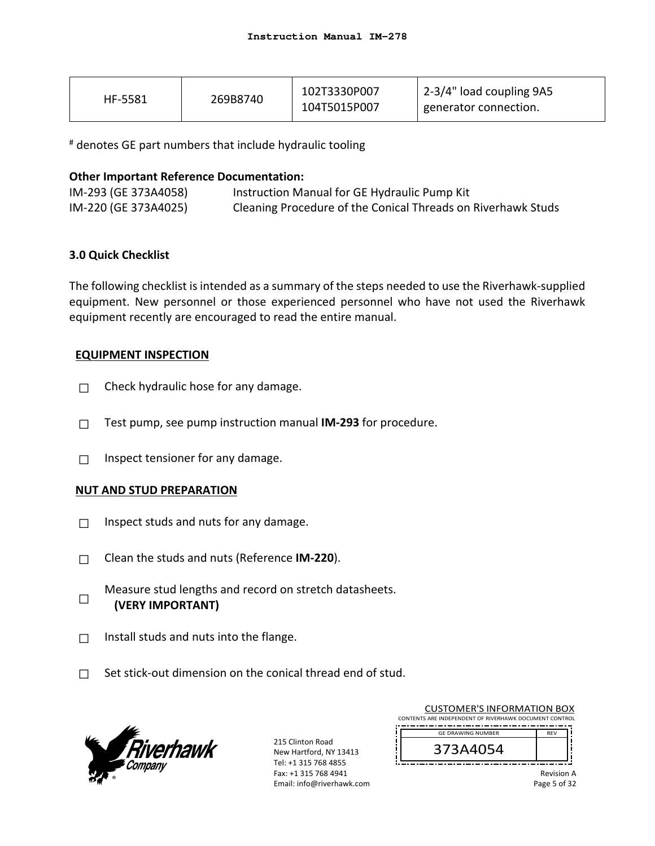| HF-5581 | 269B8740 | 102T3330P007<br>104T5015P007 | 2-3/4" load coupling 9A5<br>generator connection. |
|---------|----------|------------------------------|---------------------------------------------------|
|---------|----------|------------------------------|---------------------------------------------------|

# denotes GE part numbers that include hydraulic tooling

#### **Other Important Reference Documentation:**

| IM-293 (GE 373A4058) | Instruction Manual for GE Hydraulic Pump Kit                 |
|----------------------|--------------------------------------------------------------|
| IM-220 (GE 373A4025) | Cleaning Procedure of the Conical Threads on Riverhawk Studs |

## **3.0 Quick Checklist**

The following checklist is intended as a summary of the steps needed to use the Riverhawk‐supplied equipment. New personnel or those experienced personnel who have not used the Riverhawk equipment recently are encouraged to read the entire manual.

## **EQUIPMENT INSPECTION**

- $\Box$  Check hydraulic hose for any damage.
- □ Test pump, see pump instruction manual **IM‐293** for procedure.
- $\Box$  Inspect tensioner for any damage.

## **NUT AND STUD PREPARATION**

- $\Box$  Inspect studs and nuts for any damage.
- □ Clean the studs and nuts (Reference **IM‐220**).
- □ Measure stud lengths and record on stretch datasheets. **(VERY IMPORTANT)**
- $\Box$  Install studs and nuts into the flange.
- $\Box$  Set stick-out dimension on the conical thread end of stud.



215 Clinton Road New Hartford, NY 13413 Tel: +1 315 768 4855 Fax: +1 315 768 4941 Email: info@riverhawk.com

| <b>CUSTOMER'S INFORMATION BOX</b>                      |                   |
|--------------------------------------------------------|-------------------|
| CONTENTS ARE INDEPENDENT OF RIVERHAWK DOCUMENT CONTROL |                   |
| <b>GE DRAWING NUMBER</b>                               | <b>RFV</b>        |
| 373A4054                                               |                   |
|                                                        |                   |
|                                                        | <b>Revision A</b> |

Page 5 of 32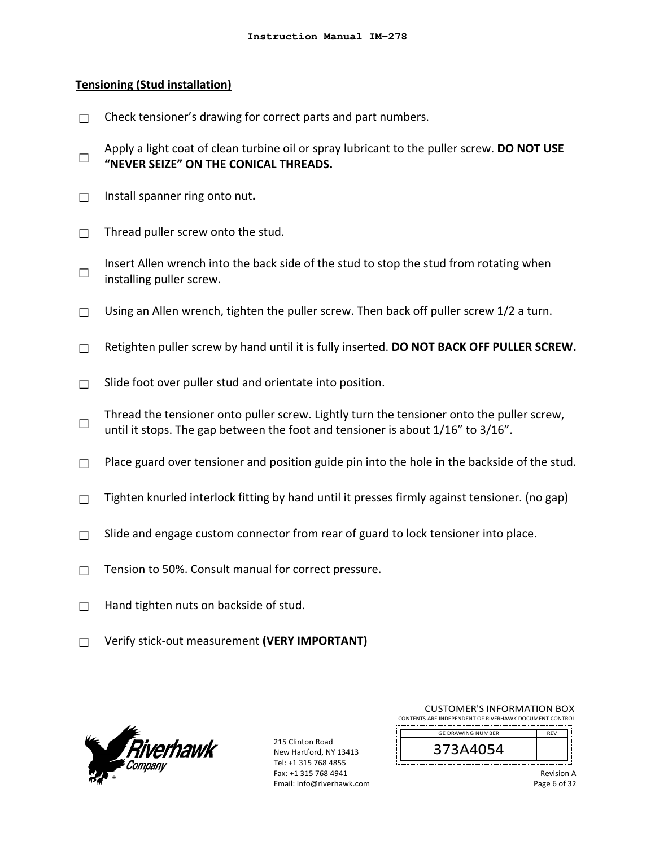#### **Tensioning (Stud installation)**

- $\Box$  Check tensioner's drawing for correct parts and part numbers.
- □ Apply a light coat of clean turbine oil or spray lubricant to the puller screw. **DO NOT USE "NEVER SEIZE" ON THE CONICAL THREADS.**
- □ Install spanner ring onto nut**.**
- $\Box$  Thread puller screw onto the stud.
- □ Insert Allen wrench into the back side of the stud to stop the stud from rotating when installing puller screw.
- $\Box$  Using an Allen wrench, tighten the puller screw. Then back off puller screw 1/2 a turn.
- □ Retighten puller screw by hand until it is fully inserted. **DO NOT BACK OFF PULLER SCREW.**
- $\Box$  Slide foot over puller stud and orientate into position.
- □ Thread the tensioner onto puller screw. Lightly turn the tensioner onto the puller screw, until it stops. The gap between the foot and tensioner is about  $1/16$ " to  $3/16$ ".
- $\Box$  Place guard over tensioner and position guide pin into the hole in the backside of the stud.
- $\Box$  Tighten knurled interlock fitting by hand until it presses firmly against tensioner. (no gap)
- $\Box$  Slide and engage custom connector from rear of guard to lock tensioner into place.
- □ Tension to 50%. Consult manual for correct pressure.
- $\Box$  Hand tighten nuts on backside of stud.
- □ Verify stick‐out measurement **(VERY IMPORTANT)**



215 Clinton Road New Hartford, NY 13413 Tel: +1 315 768 4855 Fax: +1 315 768 4941 Email: info@riverhawk.com

| <b>CUSTOMER'S INFORMATION BOX</b>                      |
|--------------------------------------------------------|
| CONTENTS ARE INDEPENDENT OF RIVERHAWK DOCUMENT CONTROL |
| <b>GE DRAWING NUMBER</b><br><b>RFV</b>                 |
| 373A4054                                               |

Revision A Page 6 of 32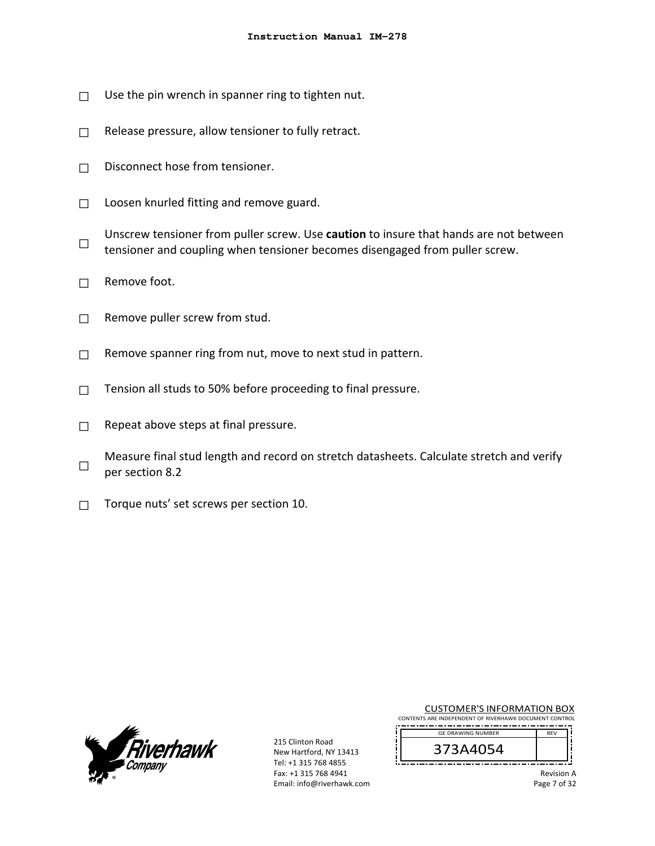- $\Box$  Use the pin wrench in spanner ring to tighten nut.
- $\Box$  Release pressure, allow tensioner to fully retract.
- $\Box$  Disconnect hose from tensioner.
- $\Box$  Loosen knurled fitting and remove guard.
- □ Unscrew tensioner from puller screw. Use **caution** to insure that hands are not between tensioner and coupling when tensioner becomes disengaged from puller screw.
- $\Box$  Remove foot.
- $\Box$  Remove puller screw from stud.
- $\Box$  Remove spanner ring from nut, move to next stud in pattern.
- $\Box$  Tension all studs to 50% before proceeding to final pressure.
- $\Box$  Repeat above steps at final pressure.
- □ Measure final stud length and record on stretch datasheets. Calculate stretch and verify per section 8.2
- $\Box$  Torque nuts' set screws per section 10.



215 Clinton Road New Hartford, NY 13413 Tel: +1 315 768 4855 Fax: +1 315 768 4941 Email: info@riverhawk.com

| <b>CUSTOMER'S INFORMATION BOX</b><br>CONTENTS ARE INDEPENDENT OF RIVERHAWK DOCUMENT CONTROL |            |  |
|---------------------------------------------------------------------------------------------|------------|--|
| <b>GE DRAWING NUMBER</b>                                                                    | <b>RFV</b> |  |
| 373A4054                                                                                    |            |  |

Revision A Page 7 of 32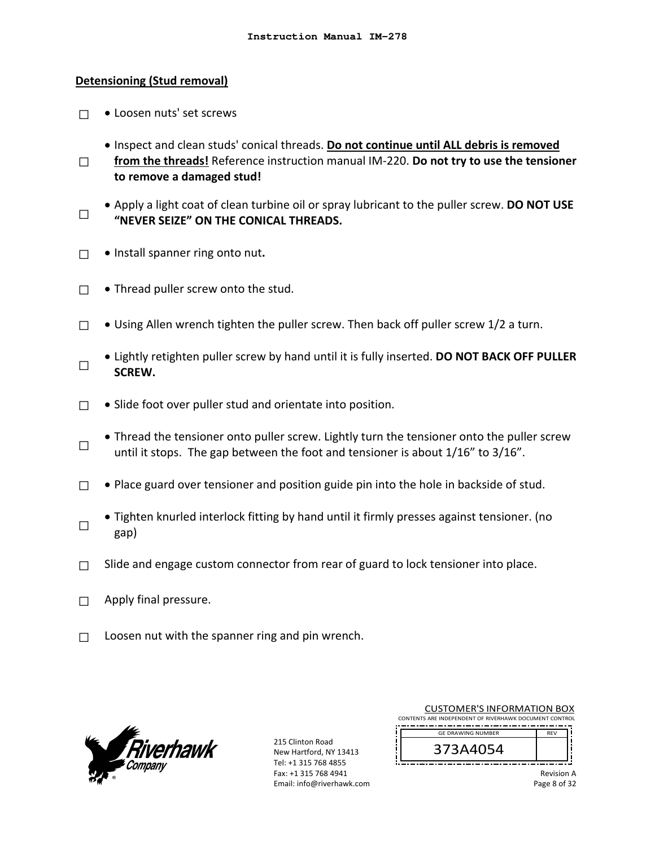#### **Detensioning (Stud removal)**

- □ Loosen nuts' set screws
	- Inspect and clean studs' conical threads. **Do not continue until ALL debris is removed**
- □ **from the threads!** Reference instruction manual IM‐220. **Do not try to use the tensioner to remove a damaged stud!**
- □ Apply a light coat of clean turbine oil or spray lubricant to the puller screw. **DO NOT USE "NEVER SEIZE" ON THE CONICAL THREADS.**
- □ **•** Install spanner ring onto nut.
- $\Box$  . Thread puller screw onto the stud.
- □  $\bullet$  Using Allen wrench tighten the puller screw. Then back off puller screw 1/2 a turn.
- □ Lightly retighten puller screw by hand until it is fully inserted. **DO NOT BACK OFF PULLER SCREW.**
- $\Box$  . Slide foot over puller stud and orientate into position.
- □ Thread the tensioner onto puller screw. Lightly turn the tensioner onto the puller screw until it stops. The gap between the foot and tensioner is about  $1/16$ " to  $3/16$ ".
- $\Box$  . Place guard over tensioner and position guide pin into the hole in backside of stud.
- □ Tighten knurled interlock fitting by hand until it firmly presses against tensioner. (no gap)
- $\Box$  Slide and engage custom connector from rear of guard to lock tensioner into place.
- $\Box$  Apply final pressure.
- $\Box$  Loosen nut with the spanner ring and pin wrench.



215 Clinton Road New Hartford, NY 13413 Tel: +1 315 768 4855 Fax: +1 315 768 4941 Email: info@riverhawk.com

| <b>CUSTOMER'S INFORMATION BOX</b>                      |            |
|--------------------------------------------------------|------------|
| CONTENTS ARE INDEPENDENT OF RIVERHAWK DOCUMENT CONTROL |            |
| <b>GE DRAWING NUMBER</b>                               | <b>RFV</b> |
| 373A4054                                               |            |
|                                                        |            |

Revision A Page 8 of 32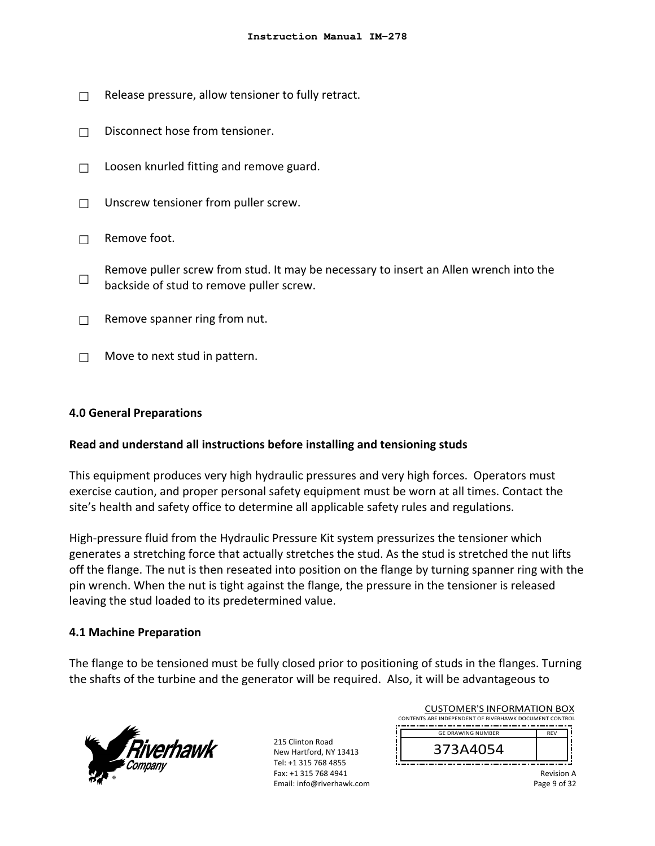- $\Box$  Release pressure, allow tensioner to fully retract.
- □ Disconnect hose from tensioner.
- $\Box$  Loosen knurled fitting and remove guard.
- □ Unscrew tensioner from puller screw.
- $\Box$  Remove foot.
- □ Remove puller screw from stud. It may be necessary to insert an Allen wrench into the backside of stud to remove puller screw.
- $\Box$  Remove spanner ring from nut.
- $\Box$  Move to next stud in pattern.

#### **4.0 General Preparations**

#### **Read and understand all instructions before installing and tensioning studs**

This equipment produces very high hydraulic pressures and very high forces. Operators must exercise caution, and proper personal safety equipment must be worn at all times. Contact the site's health and safety office to determine all applicable safety rules and regulations.

High-pressure fluid from the Hydraulic Pressure Kit system pressurizes the tensioner which generates a stretching force that actually stretches the stud. As the stud is stretched the nut lifts off the flange. The nut is then reseated into position on the flange by turning spanner ring with the pin wrench. When the nut is tight against the flange, the pressure in the tensioner is released leaving the stud loaded to its predetermined value.

#### **4.1 Machine Preparation**

The flange to be tensioned must be fully closed prior to positioning of studs in the flanges. Turning the shafts of the turbine and the generator will be required. Also, it will be advantageous to



215 Clinton Road New Hartford, NY 13413 Tel: +1 315 768 4855 Fax: +1 315 768 4941 Email: info@riverhawk.com

| <b>CUSTOMER'S INFORMATION BOX</b>                      |            |  |  |  |
|--------------------------------------------------------|------------|--|--|--|
| CONTENTS ARE INDEPENDENT OF RIVERHAWK DOCUMENT CONTROL |            |  |  |  |
| <b>GE DRAWING NUMBER</b>                               | <b>RFV</b> |  |  |  |
| 373A4054                                               |            |  |  |  |
|                                                        |            |  |  |  |

Revision A Page 9 of 32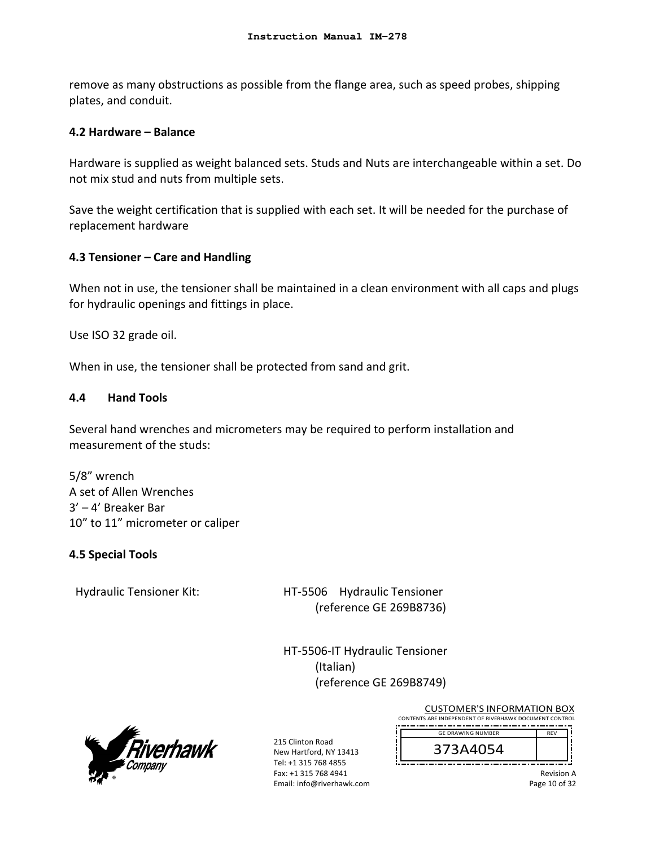remove as many obstructions as possible from the flange area, such as speed probes, shipping plates, and conduit.

## **4.2 Hardware – Balance**

Hardware is supplied as weight balanced sets. Studs and Nuts are interchangeable within a set. Do not mix stud and nuts from multiple sets.

Save the weight certification that is supplied with each set. It will be needed for the purchase of replacement hardware

## **4.3 Tensioner – Care and Handling**

When not in use, the tensioner shall be maintained in a clean environment with all caps and plugs for hydraulic openings and fittings in place.

Use ISO 32 grade oil.

When in use, the tensioner shall be protected from sand and grit.

## **4.4 Hand Tools**

Several hand wrenches and micrometers may be required to perform installation and measurement of the studs:

5/8" wrench A set of Allen Wrenches 3' – 4' Breaker Bar 10" to 11" micrometer or caliper

## **4.5 Special Tools**

Hydraulic Tensioner Kit: HT-5506 Hydraulic Tensioner (reference GE 269B8736)

> HT‐5506‐IT Hydraulic Tensioner (Italian) (reference GE 269B8749)

> > ñ



215 Clinton Road New Hartford, NY 13413 Tel: +1 315 768 4855 Fax: +1 315 768 4941 Email: info@riverhawk.com

| <b>CUSTOMER'S INFORMATION BOX</b>                      |  |
|--------------------------------------------------------|--|
| CONTENTS ARE INDEPENDENT OF RIVERHAWK DOCUMENT CONTROL |  |
| <b>GE DRAWING NUMBER</b>                               |  |
|                                                        |  |



Revision A Page 10 of 32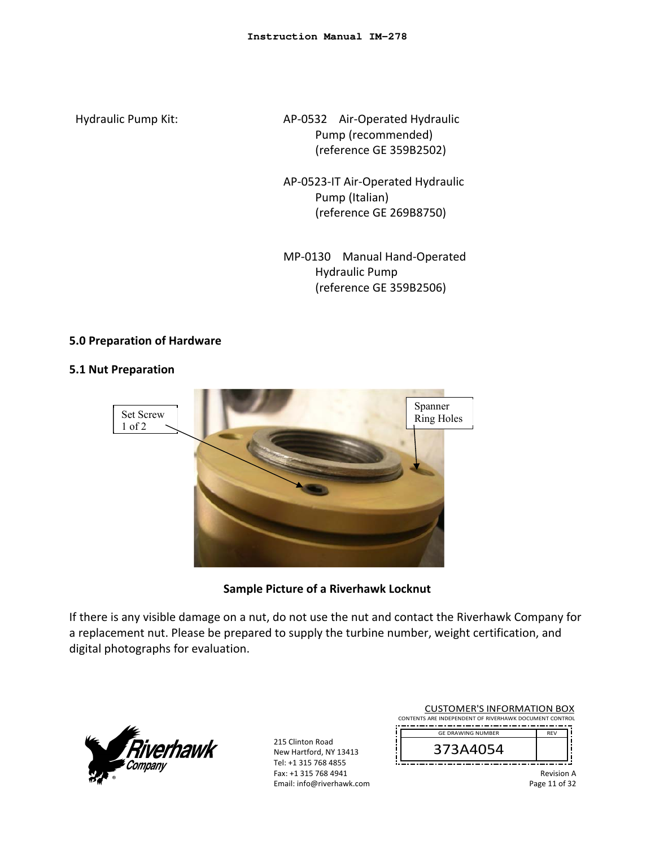Hydraulic Pump Kit: 
and AP-0532 Air-Operated Hydraulic Pump (recommended) (reference GE 359B2502)

- AP‐0523‐IT Air‐Operated Hydraulic Pump (Italian) (reference GE 269B8750)
- MP‐0130 Manual Hand‐Operated Hydraulic Pump (reference GE 359B2506)

## **5.0 Preparation of Hardware**

## **5.1 Nut Preparation**



**Sample Picture of a Riverhawk Locknut** 

If there is any visible damage on a nut, do not use the nut and contact the Riverhawk Company for a replacement nut. Please be prepared to supply the turbine number, weight certification, and digital photographs for evaluation.



215 Clinton Road New Hartford, NY 13413 Tel: +1 315 768 4855 Fax: +1 315 768 4941 Email: info@riverhawk.com

| <b>CUSTOMER'S INFORMATION BOX</b>                      |            |  |  |
|--------------------------------------------------------|------------|--|--|
| CONTENTS ARE INDEPENDENT OF RIVERHAWK DOCUMENT CONTROL |            |  |  |
| <b>GE DRAWING NUMBER</b>                               | <b>RFV</b> |  |  |
| 373A4054                                               |            |  |  |
|                                                        | .          |  |  |

Revision A Page 11 of 32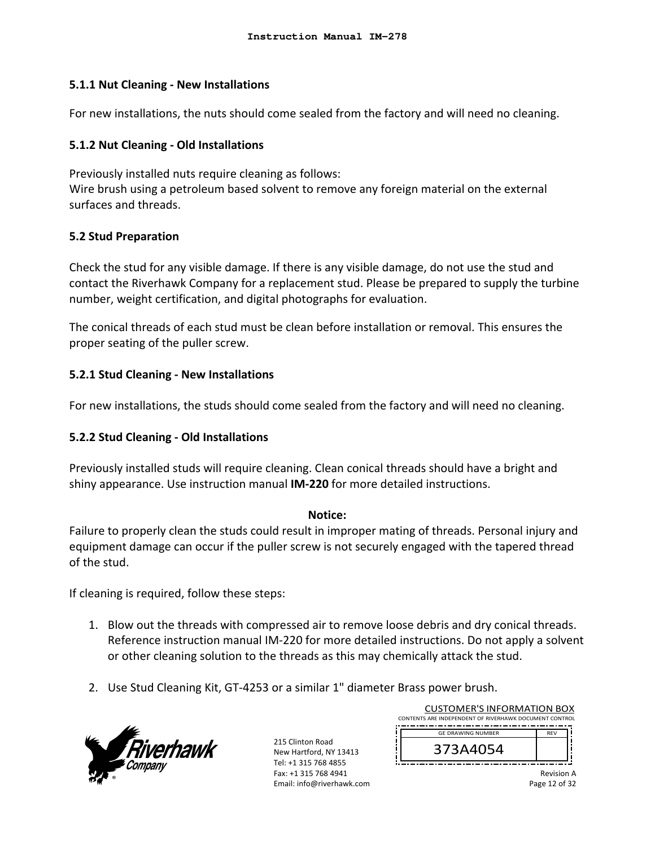## **5.1.1 Nut Cleaning ‐ New Installations**

For new installations, the nuts should come sealed from the factory and will need no cleaning.

## **5.1.2 Nut Cleaning ‐ Old Installations**

Previously installed nuts require cleaning as follows: Wire brush using a petroleum based solvent to remove any foreign material on the external surfaces and threads.

## **5.2 Stud Preparation**

Check the stud for any visible damage. If there is any visible damage, do not use the stud and contact the Riverhawk Company for a replacement stud. Please be prepared to supply the turbine number, weight certification, and digital photographs for evaluation.

The conical threads of each stud must be clean before installation or removal. This ensures the proper seating of the puller screw.

## **5.2.1 Stud Cleaning ‐ New Installations**

For new installations, the studs should come sealed from the factory and will need no cleaning.

# **5.2.2 Stud Cleaning ‐ Old Installations**

Previously installed studs will require cleaning. Clean conical threads should have a bright and shiny appearance. Use instruction manual **IM‐220** for more detailed instructions.

#### **Notice:**

Failure to properly clean the studs could result in improper mating of threads. Personal injury and equipment damage can occur if the puller screw is not securely engaged with the tapered thread of the stud.

If cleaning is required, follow these steps:

- 1. Blow out the threads with compressed air to remove loose debris and dry conical threads. Reference instruction manual IM‐220 for more detailed instructions. Do not apply a solvent or other cleaning solution to the threads as this may chemically attack the stud.
- 2. Use Stud Cleaning Kit, GT‐4253 or a similar 1" diameter Brass power brush.



215 Clinton Road New Hartford, NY 13413 Tel: +1 315 768 4855 Fax: +1 315 768 4941 Email: info@riverhawk.com

|                                                        | <b>CUSTOMER'S INFORMATION BOX</b> |                   |  |  |
|--------------------------------------------------------|-----------------------------------|-------------------|--|--|
| CONTENTS ARE INDEPENDENT OF RIVERHAWK DOCUMENT CONTROL |                                   |                   |  |  |
|                                                        | <b>GE DRAWING NUMBER</b>          | <b>RFV</b>        |  |  |
|                                                        | 373A4054                          |                   |  |  |
|                                                        |                                   | <b>Revision A</b> |  |  |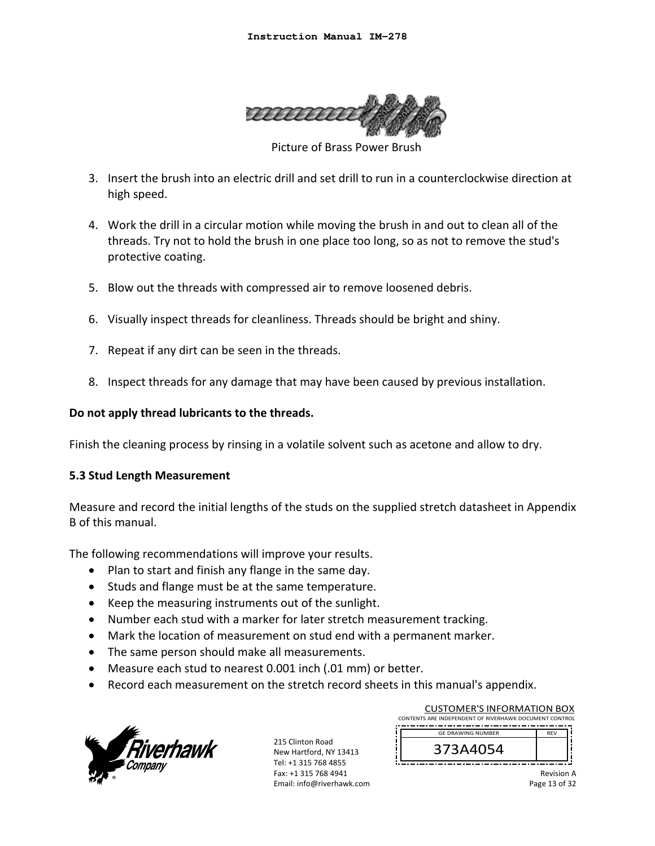

Picture of Brass Power Brush

- 3. Insert the brush into an electric drill and set drill to run in a counterclockwise direction at high speed.
- 4. Work the drill in a circular motion while moving the brush in and out to clean all of the threads. Try not to hold the brush in one place too long, so as not to remove the stud's protective coating.
- 5. Blow out the threads with compressed air to remove loosened debris.
- 6. Visually inspect threads for cleanliness. Threads should be bright and shiny.
- 7. Repeat if any dirt can be seen in the threads.
- 8. Inspect threads for any damage that may have been caused by previous installation.

## **Do not apply thread lubricants to the threads.**

Finish the cleaning process by rinsing in a volatile solvent such as acetone and allow to dry.

## **5.3 Stud Length Measurement**

Measure and record the initial lengths of the studs on the supplied stretch datasheet in Appendix B of this manual.

The following recommendations will improve your results.

- Plan to start and finish any flange in the same day.
- Studs and flange must be at the same temperature.
- Keep the measuring instruments out of the sunlight.
- Number each stud with a marker for later stretch measurement tracking.
- Mark the location of measurement on stud end with a permanent marker.
- The same person should make all measurements.
- Measure each stud to nearest 0.001 inch (.01 mm) or better.
- Record each measurement on the stretch record sheets in this manual's appendix.



215 Clinton Road New Hartford, NY 13413 Tel: +1 315 768 4855 Fax: +1 315 768 4941 Email: info@riverhawk.com

| CONTENTS ARE INDEPENDENT OF RIVERHAWK DOCUMENT CONTROL |  | <b>CUSTOMER'S INFORMATION BOX</b> |            |  |  |
|--------------------------------------------------------|--|-----------------------------------|------------|--|--|
|                                                        |  |                                   |            |  |  |
|                                                        |  | <b>GE DRAWING NUMBER</b>          | <b>RFV</b> |  |  |
| 373A4054                                               |  |                                   |            |  |  |

Revision A Page 13 of 32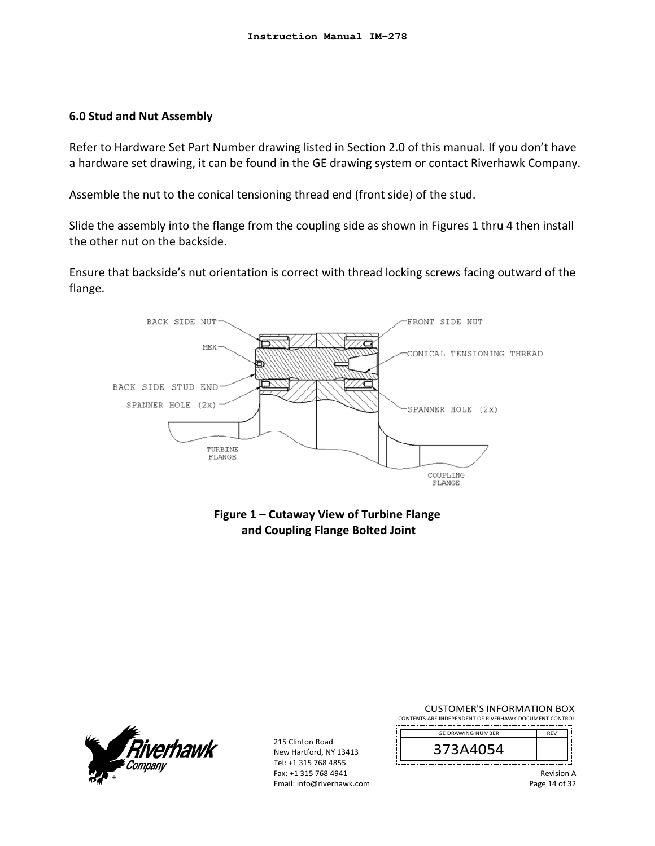#### **6.0 Stud and Nut Assembly**

Refer to Hardware Set Part Number drawing listed in Section 2.0 of this manual. If you don't have a hardware set drawing, it can be found in the GE drawing system or contact Riverhawk Company.

Assemble the nut to the conical tensioning thread end (front side) of the stud.

Slide the assembly into the flange from the coupling side as shown in Figures 1 thru 4 then install the other nut on the backside.

Ensure that backside's nut orientation is correct with thread locking screws facing outward of the flange.



**Figure 1 – Cutaway View of Turbine Flange and Coupling Flange Bolted Joint** 



215 Clinton Road New Hartford, NY 13413 Tel: +1 315 768 4855 Fax: +1 315 768 4941 Email: info@riverhawk.com

| <b>CUSTOMER'S INFORMATION BOX</b><br>CONTENTS ARE INDEPENDENT OF RIVERHAWK DOCUMENT CONTROL |                        |
|---------------------------------------------------------------------------------------------|------------------------|
| <b>GE DRAWING NUMBER</b><br>373A4054                                                        | <b>RFV</b>             |
|                                                                                             | <b>Revision A</b><br>. |

Page 14 of 32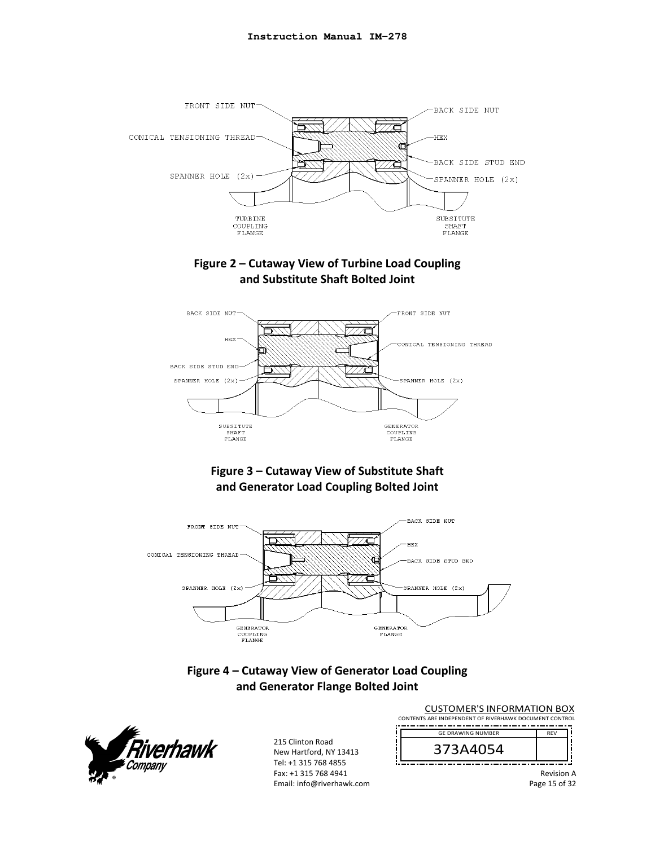

# **Figure 2 – Cutaway View of Turbine Load Coupling and Substitute Shaft Bolted Joint**



# **Figure 3 – Cutaway View of Substitute Shaft and Generator Load Coupling Bolted Joint**



# **Figure 4 – Cutaway View of Generator Load Coupling and Generator Flange Bolted Joint**



215 Clinton Road New Hartford, NY 13413 Tel: +1 315 768 4855 Fax: +1 315 768 4941 Email: info@riverhawk.com

| <b>CUSTOMER'S INFORMATION BOX</b><br>CONTENTS ARE INDEPENDENT OF RIVERHAWK DOCUMENT CONTROL |            |
|---------------------------------------------------------------------------------------------|------------|
| <b>GE DRAWING NUMBER</b>                                                                    | <b>RFV</b> |
| 373A4054                                                                                    |            |

Revision A

Page 15 of 32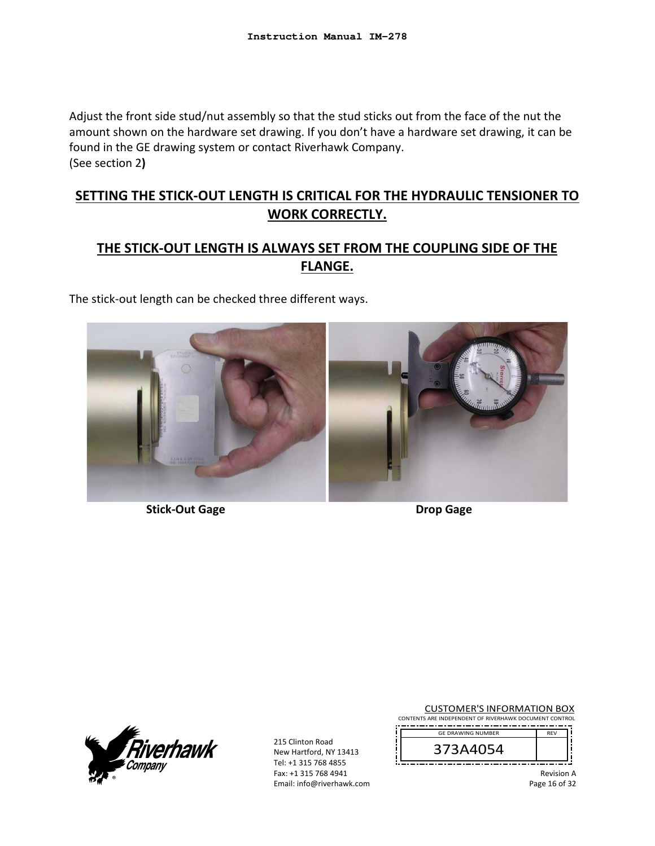Adjust the front side stud/nut assembly so that the stud sticks out from the face of the nut the amount shown on the hardware set drawing. If you don't have a hardware set drawing, it can be found in the GE drawing system or contact Riverhawk Company. (See section 2**)** 

# **SETTING THE STICK‐OUT LENGTH IS CRITICAL FOR THE HYDRAULIC TENSIONER TO WORK CORRECTLY.**

# **THE STICK‐OUT LENGTH IS ALWAYS SET FROM THE COUPLING SIDE OF THE FLANGE.**

The stick‐out length can be checked three different ways.



**Stick‐Out Gage Drop Gage** 



215 Clinton Road New Hartford, NY 13413 Tel: +1 315 768 4855 Fax: +1 315 768 4941 Email: info@riverhawk.com

CUSTOMER'S INFORMATION BOX CONTENTS ARE INDEPENDENT OF RIVERHAWK DOCUMENT CONTROL --------------------------



Revision A

Page 16 of 32

REV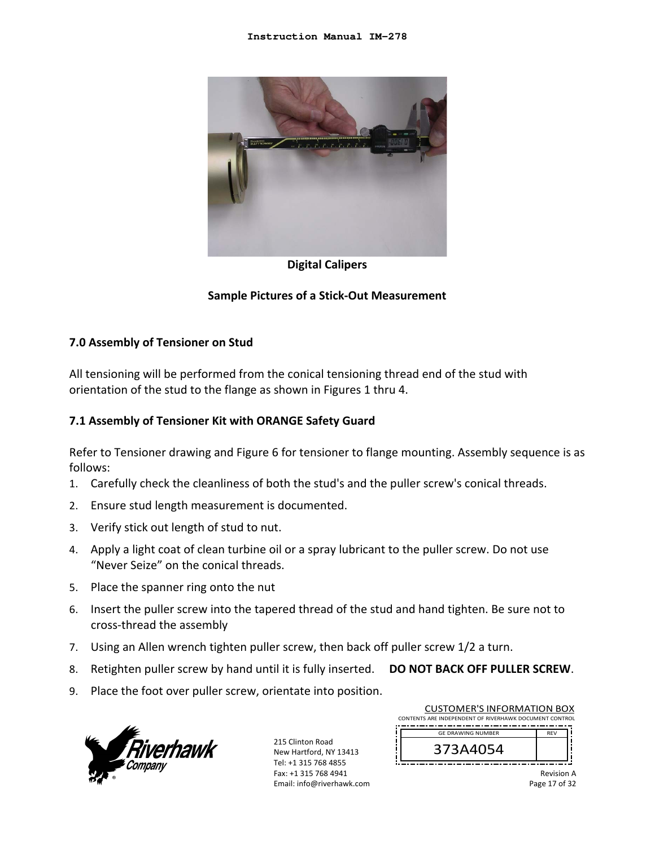

## **Digital Calipers**

## **Sample Pictures of a Stick‐Out Measurement**

#### **7.0 Assembly of Tensioner on Stud**

All tensioning will be performed from the conical tensioning thread end of the stud with orientation of the stud to the flange as shown in Figures 1 thru 4.

#### **7.1 Assembly of Tensioner Kit with ORANGE Safety Guard**

Refer to Tensioner drawing and Figure 6 for tensioner to flange mounting. Assembly sequence is as follows:

- 1. Carefully check the cleanliness of both the stud's and the puller screw's conical threads.
- 2. Ensure stud length measurement is documented.
- 3. Verify stick out length of stud to nut.
- 4. Apply a light coat of clean turbine oil or a spray lubricant to the puller screw. Do not use "Never Seize" on the conical threads.
- 5. Place the spanner ring onto the nut
- 6. Insert the puller screw into the tapered thread of the stud and hand tighten. Be sure not to cross‐thread the assembly
- 7. Using an Allen wrench tighten puller screw, then back off puller screw 1/2 a turn.
- 8. Retighten puller screw by hand until it is fully inserted. **DO NOT BACK OFF PULLER SCREW**.
- 9. Place the foot over puller screw, orientate into position.



215 Clinton Road New Hartford, NY 13413 Tel: +1 315 768 4855 Fax: +1 315 768 4941 Email: info@riverhawk.com

| <b>CUSTOMER'S INFORMATION BOX</b><br>CONTENTS ARE INDEPENDENT OF RIVERHAWK DOCUMENT CONTROL |            |
|---------------------------------------------------------------------------------------------|------------|
| <b>GE DRAWING NUMBER</b>                                                                    | <b>RFV</b> |
| 373A4054                                                                                    |            |

Revision A Page 17 of 32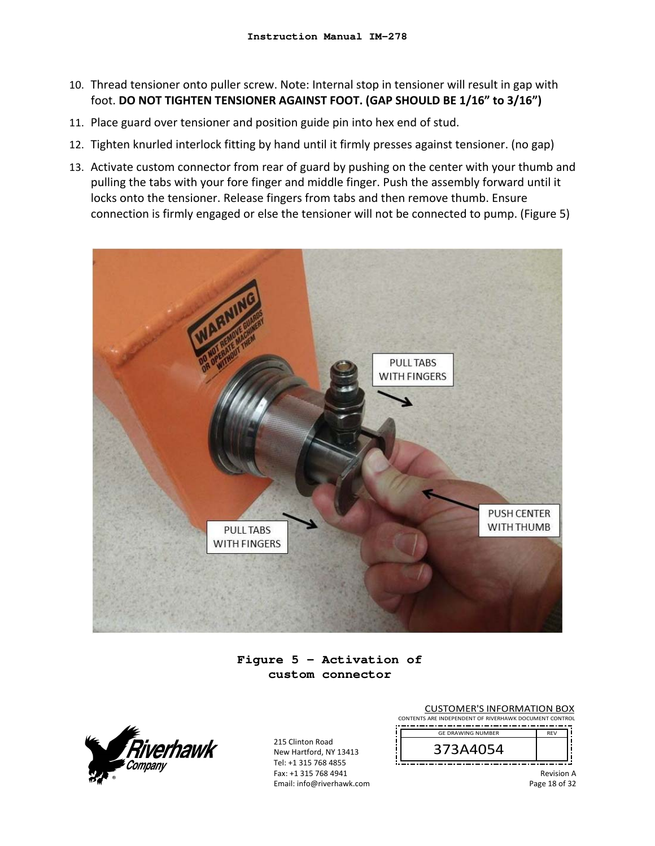- 10. Thread tensioner onto puller screw. Note: Internal stop in tensioner will result in gap with foot. **DO NOT TIGHTEN TENSIONER AGAINST FOOT. (GAP SHOULD BE 1/16" to 3/16")**
- 11. Place guard over tensioner and position guide pin into hex end of stud.
- 12. Tighten knurled interlock fitting by hand until it firmly presses against tensioner. (no gap)
- 13. Activate custom connector from rear of guard by pushing on the center with your thumb and pulling the tabs with your fore finger and middle finger. Push the assembly forward until it locks onto the tensioner. Release fingers from tabs and then remove thumb. Ensure connection is firmly engaged or else the tensioner will not be connected to pump. (Figure 5)



**Figure 5 – Activation of custom connector** 



215 Clinton Road New Hartford, NY 13413 Tel: +1 315 768 4855 Fax: +1 315 768 4941 Email: info@riverhawk.com

CUSTOMER'S INFORMATION BOX CONTENTS ARE INDEPENDENT OF RIVERHAWK DOCUMENT CONTROL \_\_\_\_\_\_\_\_\_\_\_\_\_\_\_\_\_\_\_\_\_\_ REV GE DRAWING NUMBER



Revision A

Page 18 of 32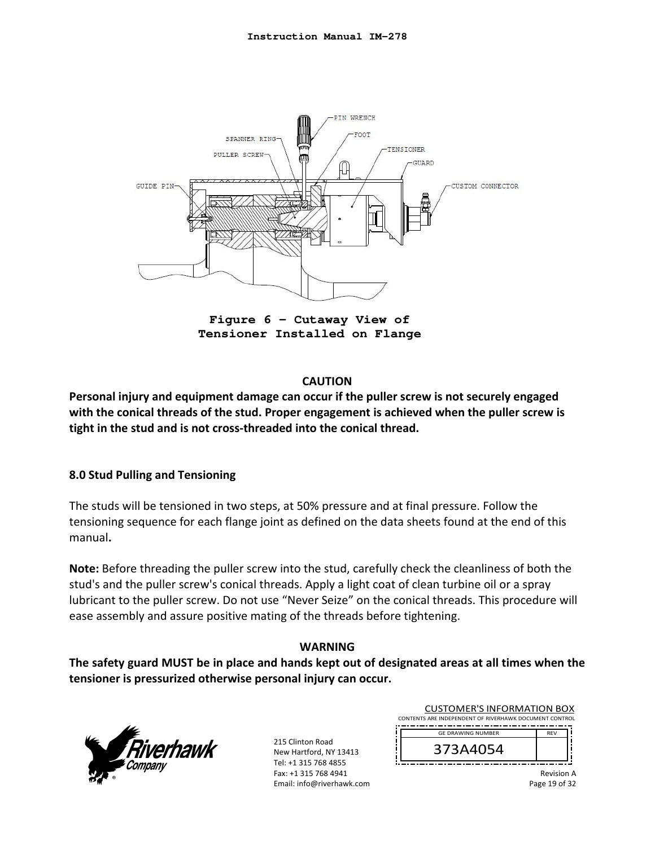

**Figure 6 – Cutaway View of Tensioner Installed on Flange** 

## **CAUTION**

**Personal injury and equipment damage can occur if the puller screw is not securely engaged with the conical threads of the stud. Proper engagement is achieved when the puller screw is tight in the stud and is not cross‐threaded into the conical thread.**

## **8.0 Stud Pulling and Tensioning**

The studs will be tensioned in two steps, at 50% pressure and at final pressure. Follow the tensioning sequence for each flange joint as defined on the data sheets found at the end of this manual**.** 

**Note:** Before threading the puller screw into the stud, carefully check the cleanliness of both the stud's and the puller screw's conical threads. Apply a light coat of clean turbine oil or a spray lubricant to the puller screw. Do not use "Never Seize" on the conical threads. This procedure will ease assembly and assure positive mating of the threads before tightening.

## **WARNING**

**The safety guard MUST be in place and hands kept out of designated areas at all times when the tensioner is pressurized otherwise personal injury can occur.** 



215 Clinton Road New Hartford, NY 13413 Tel: +1 315 768 4855 Fax: +1 315 768 4941 Email: info@riverhawk.com

| <b>CUSTOMER'S INFORMATION BOX</b>                      |            |  |  |
|--------------------------------------------------------|------------|--|--|
| CONTENTS ARE INDEPENDENT OF RIVERHAWK DOCUMENT CONTROL |            |  |  |
| <b>GE DRAWING NUMBER</b>                               | <b>RFV</b> |  |  |
| 373A4054                                               |            |  |  |

Revision A Page 19 of 32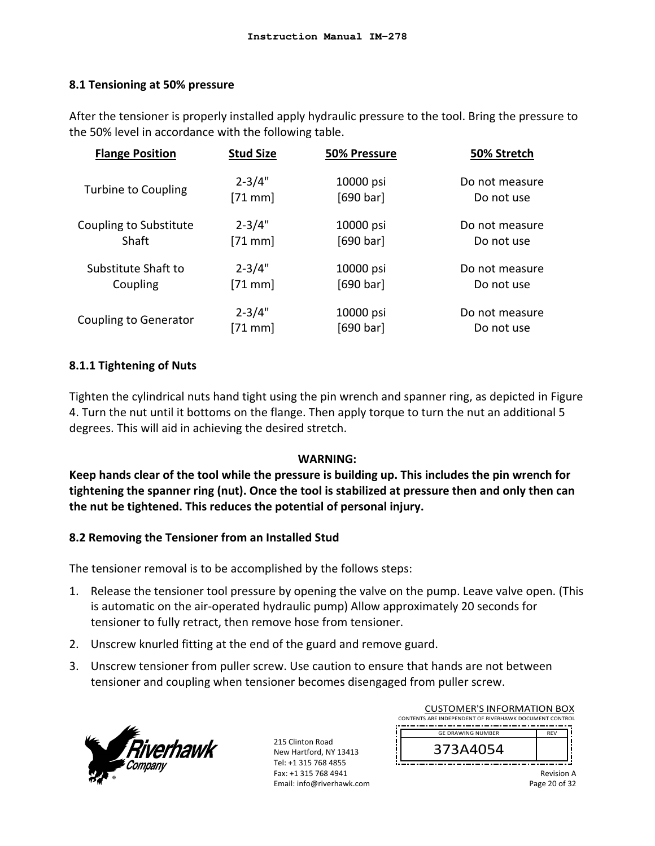## **8.1 Tensioning at 50% pressure**

After the tensioner is properly installed apply hydraulic pressure to the tool. Bring the pressure to the 50% level in accordance with the following table.

| <b>Flange Position</b>     | <b>Stud Size</b> | 50% Pressure | 50% Stretch    |
|----------------------------|------------------|--------------|----------------|
| <b>Turbine to Coupling</b> | $2 - 3/4"$       | 10000 psi    | Do not measure |
|                            | $[71$ mm]        | [690 bar]    | Do not use     |
| Coupling to Substitute     | $2 - 3/4"$       | 10000 psi    | Do not measure |
| Shaft                      | $[71$ mm         | [690 bar]    | Do not use     |
| Substitute Shaft to        | $2 - 3/4"$       | 10000 psi    | Do not measure |
| Coupling                   | $[71$ mm]        | [690 bar]    | Do not use     |
| Coupling to Generator      | $2 - 3/4"$       | 10000 psi    | Do not measure |
|                            | $[71$ mm         | [690 bar]    | Do not use     |

## **8.1.1 Tightening of Nuts**

Tighten the cylindrical nuts hand tight using the pin wrench and spanner ring, as depicted in Figure 4. Turn the nut until it bottoms on the flange. Then apply torque to turn the nut an additional 5 degrees. This will aid in achieving the desired stretch.

## **WARNING:**

**Keep hands clear of the tool while the pressure is building up. This includes the pin wrench for tightening the spanner ring (nut). Once the tool is stabilized at pressure then and only then can the nut be tightened. This reduces the potential of personal injury.** 

## **8.2 Removing the Tensioner from an Installed Stud**

The tensioner removal is to be accomplished by the follows steps:

- 1. Release the tensioner tool pressure by opening the valve on the pump. Leave valve open. (This is automatic on the air‐operated hydraulic pump) Allow approximately 20 seconds for tensioner to fully retract, then remove hose from tensioner.
- 2. Unscrew knurled fitting at the end of the guard and remove guard.
- 3. Unscrew tensioner from puller screw. Use caution to ensure that hands are not between tensioner and coupling when tensioner becomes disengaged from puller screw.



215 Clinton Road New Hartford, NY 13413 Tel: +1 315 768 4855 Fax: +1 315 768 4941 Email: info@riverhawk.com

| <b>CUSTOMER'S INFORMATION BOX</b>                      |            |  |  |
|--------------------------------------------------------|------------|--|--|
| CONTENTS ARE INDEPENDENT OF RIVERHAWK DOCUMENT CONTROL |            |  |  |
| <b>GE DRAWING NUMBER</b>                               | <b>RFV</b> |  |  |
|                                                        |            |  |  |
| 373A4054                                               |            |  |  |
|                                                        |            |  |  |

Revision A Page 20 of 32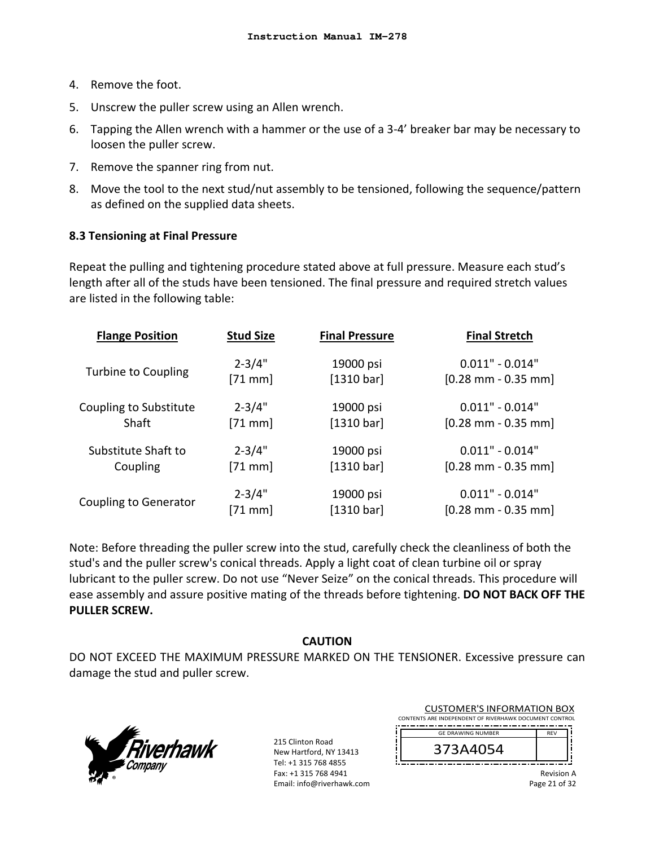- 4. Remove the foot.
- 5. Unscrew the puller screw using an Allen wrench.
- 6. Tapping the Allen wrench with a hammer or the use of a 3‐4' breaker bar may be necessary to loosen the puller screw.
- 7. Remove the spanner ring from nut.
- 8. Move the tool to the next stud/nut assembly to be tensioned, following the sequence/pattern as defined on the supplied data sheets.

## **8.3 Tensioning at Final Pressure**

Repeat the pulling and tightening procedure stated above at full pressure. Measure each stud's length after all of the studs have been tensioned. The final pressure and required stretch values are listed in the following table:

| <b>Flange Position</b>       | <b>Stud Size</b>  | <b>Final Pressure</b> | <b>Final Stretch</b>                  |
|------------------------------|-------------------|-----------------------|---------------------------------------|
| Turbine to Coupling          | $2 - 3/4"$        | 19000 psi             | $0.011" - 0.014"$                     |
|                              | $[71$ mm]         | [1310 bar]            | $[0.28 \text{ mm} - 0.35 \text{ mm}]$ |
| Coupling to Substitute       | $2 - 3/4"$        | 19000 psi             | $0.011" - 0.014"$                     |
| Shaft                        | $[71$ mm          | [1310 bar]            | $[0.28 \text{ mm} - 0.35 \text{ mm}]$ |
| Substitute Shaft to          | $2 - 3/4"$        | 19000 psi             | $0.011" - 0.014"$                     |
| Coupling                     | $[71$ mm]         | [1310 bar]            | $[0.28 \text{ mm} - 0.35 \text{ mm}]$ |
| <b>Coupling to Generator</b> | $2 - 3/4"$        | 19000 psi             | $0.011" - 0.014"$                     |
|                              | $[71 \text{ mm}]$ | [1310 bar]            | $[0.28$ mm - 0.35 mm                  |

Note: Before threading the puller screw into the stud, carefully check the cleanliness of both the stud's and the puller screw's conical threads. Apply a light coat of clean turbine oil or spray lubricant to the puller screw. Do not use "Never Seize" on the conical threads. This procedure will ease assembly and assure positive mating of the threads before tightening. **DO NOT BACK OFF THE PULLER SCREW.**

## **CAUTION**

DO NOT EXCEED THE MAXIMUM PRESSURE MARKED ON THE TENSIONER. Excessive pressure can damage the stud and puller screw.



215 Clinton Road New Hartford, NY 13413 Tel: +1 315 768 4855 Fax: +1 315 768 4941 Email: info@riverhawk.com

| <b>CUSTOMER'S INFORMATION BOX</b>                      |            |
|--------------------------------------------------------|------------|
| CONTENTS ARE INDEPENDENT OF RIVERHAWK DOCUMENT CONTROL |            |
| <b>GE DRAWING NUMBER</b>                               | <b>RFV</b> |
| 373A4054                                               |            |
|                                                        |            |

Revision A Page 21 of 32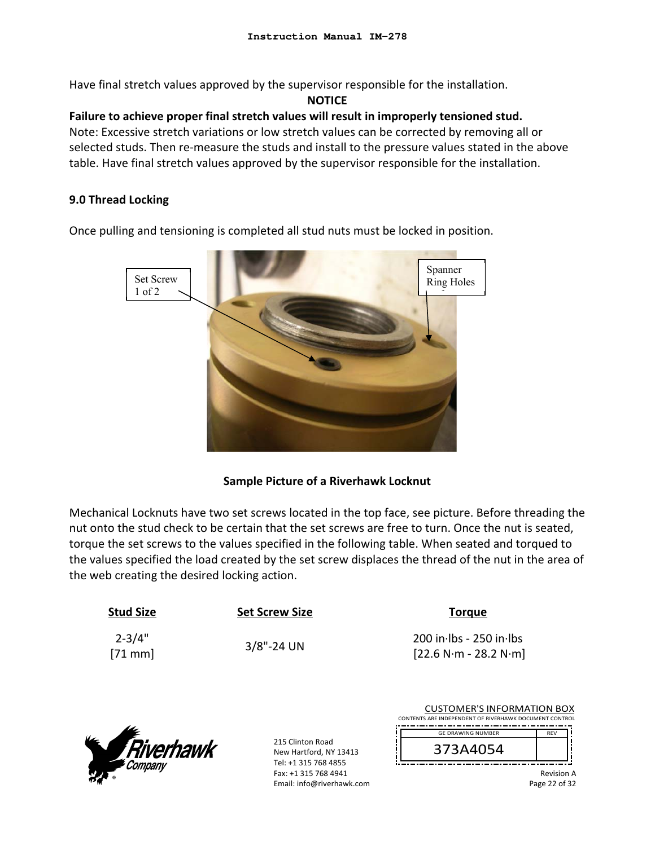Have final stretch values approved by the supervisor responsible for the installation.

#### **NOTICE**

# **Failure to achieve proper final stretch values will result in improperly tensioned stud.**

Note: Excessive stretch variations or low stretch values can be corrected by removing all or selected studs. Then re-measure the studs and install to the pressure values stated in the above table. Have final stretch values approved by the supervisor responsible for the installation.

# **9.0 Thread Locking**

Once pulling and tensioning is completed all stud nuts must be locked in position.



# **Sample Picture of a Riverhawk Locknut**

Mechanical Locknuts have two set screws located in the top face, see picture. Before threading the nut onto the stud check to be certain that the set screws are free to turn. Once the nut is seated, torque the set screws to the values specified in the following table. When seated and torqued to the values specified the load created by the set screw displaces the thread of the nut in the area of the web creating the desired locking action.

| <b>Stud Size</b>       | <b>Set Screw Size</b> | <b>Torgue</b>                                        |
|------------------------|-----------------------|------------------------------------------------------|
| $2 - 3/4"$<br>$[71$ mm | $3/8$ "-24 UN         | $200$ in lbs - 250 in lbs<br>$[22.6 N·m - 28.2 N·m]$ |



215 Clinton Road New Hartford, NY 13413 Tel: +1 315 768 4855 Fax: +1 315 768 4941 Email: info@riverhawk.com

| <b>CUSTOMER'S INFORMATION BOX</b><br>CONTENTS ARE INDEPENDENT OF RIVERHAWK DOCUMENT CONTROL |            |  |
|---------------------------------------------------------------------------------------------|------------|--|
| <b>GE DRAWING NUMBER</b>                                                                    | <b>RFV</b> |  |
|                                                                                             |            |  |
| 373A4054                                                                                    |            |  |
|                                                                                             |            |  |

Revision A Page 22 of 32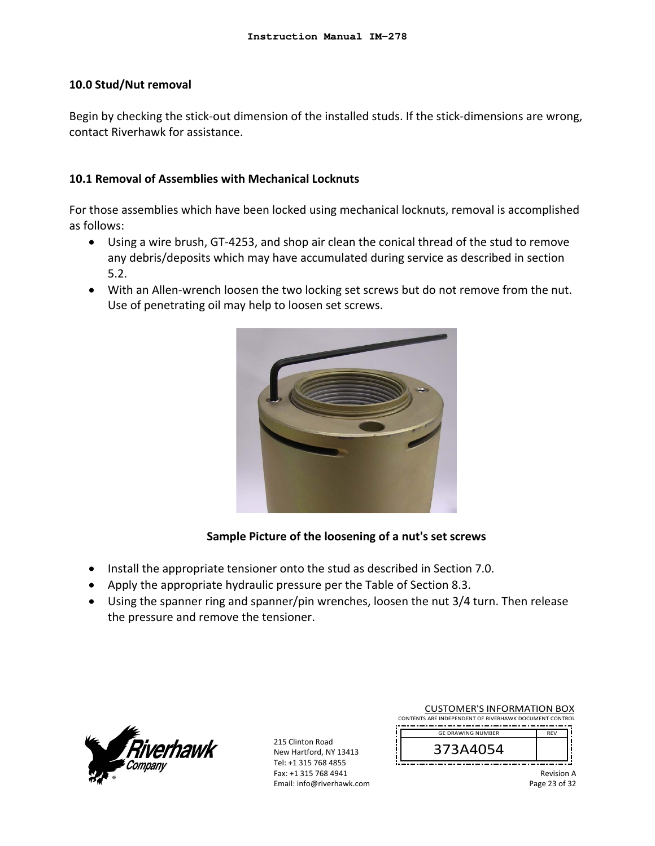#### **10.0 Stud/Nut removal**

Begin by checking the stick‐out dimension of the installed studs. If the stick‐dimensions are wrong, contact Riverhawk for assistance.

## **10.1 Removal of Assemblies with Mechanical Locknuts**

For those assemblies which have been locked using mechanical locknuts, removal is accomplished as follows:

- Using a wire brush, GT‐4253, and shop air clean the conical thread of the stud to remove any debris/deposits which may have accumulated during service as described in section 5.2.
- With an Allen-wrench loosen the two locking set screws but do not remove from the nut. Use of penetrating oil may help to loosen set screws.



# **Sample Picture of the loosening of a nut's set screws**

- Install the appropriate tensioner onto the stud as described in Section 7.0.
- Apply the appropriate hydraulic pressure per the Table of Section 8.3.
- Using the spanner ring and spanner/pin wrenches, loosen the nut 3/4 turn. Then release the pressure and remove the tensioner.



215 Clinton Road New Hartford, NY 13413 Tel: +1 315 768 4855 Fax: +1 315 768 4941 Email: info@riverhawk.com

| <b>CUSTOMER'S INFORMATION BOX</b>                      |            |  |
|--------------------------------------------------------|------------|--|
| CONTENTS ARE INDEPENDENT OF RIVERHAWK DOCUMENT CONTROL |            |  |
| <b>GE DRAWING NUMBER</b>                               | <b>RFV</b> |  |
| 373A4054                                               |            |  |
|                                                        |            |  |
|                                                        |            |  |

Revision A Page 23 of 32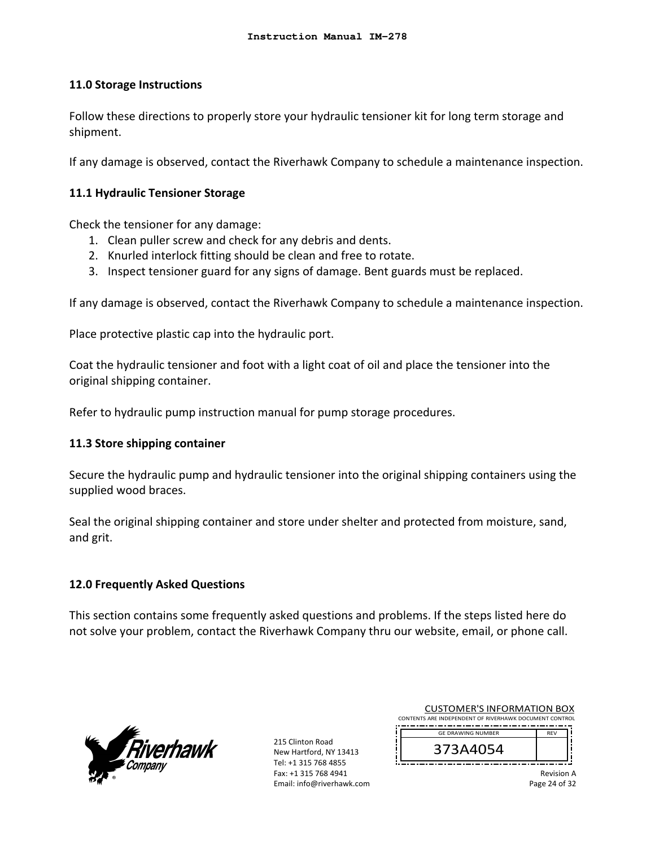## **11.0 Storage Instructions**

Follow these directions to properly store your hydraulic tensioner kit for long term storage and shipment.

If any damage is observed, contact the Riverhawk Company to schedule a maintenance inspection.

## **11.1 Hydraulic Tensioner Storage**

Check the tensioner for any damage:

- 1. Clean puller screw and check for any debris and dents.
- 2. Knurled interlock fitting should be clean and free to rotate.
- 3. Inspect tensioner guard for any signs of damage. Bent guards must be replaced.

If any damage is observed, contact the Riverhawk Company to schedule a maintenance inspection.

Place protective plastic cap into the hydraulic port.

Coat the hydraulic tensioner and foot with a light coat of oil and place the tensioner into the original shipping container.

Refer to hydraulic pump instruction manual for pump storage procedures.

## **11.3 Store shipping container**

Secure the hydraulic pump and hydraulic tensioner into the original shipping containers using the supplied wood braces.

Seal the original shipping container and store under shelter and protected from moisture, sand, and grit.

# **12.0 Frequently Asked Questions**

This section contains some frequently asked questions and problems. If the steps listed here do not solve your problem, contact the Riverhawk Company thru our website, email, or phone call.



215 Clinton Road New Hartford, NY 13413 Tel: +1 315 768 4855 Fax: +1 315 768 4941 Email: info@riverhawk.com

| <b>CUSTOMER'S INFORMATION BOX</b>                      |            |  |
|--------------------------------------------------------|------------|--|
| CONTENTS ARE INDEPENDENT OF RIVERHAWK DOCUMENT CONTROL |            |  |
| <b>GE DRAWING NUMBER</b>                               | <b>RFV</b> |  |
| 373A4054                                               |            |  |

Revision A Page 24 of 32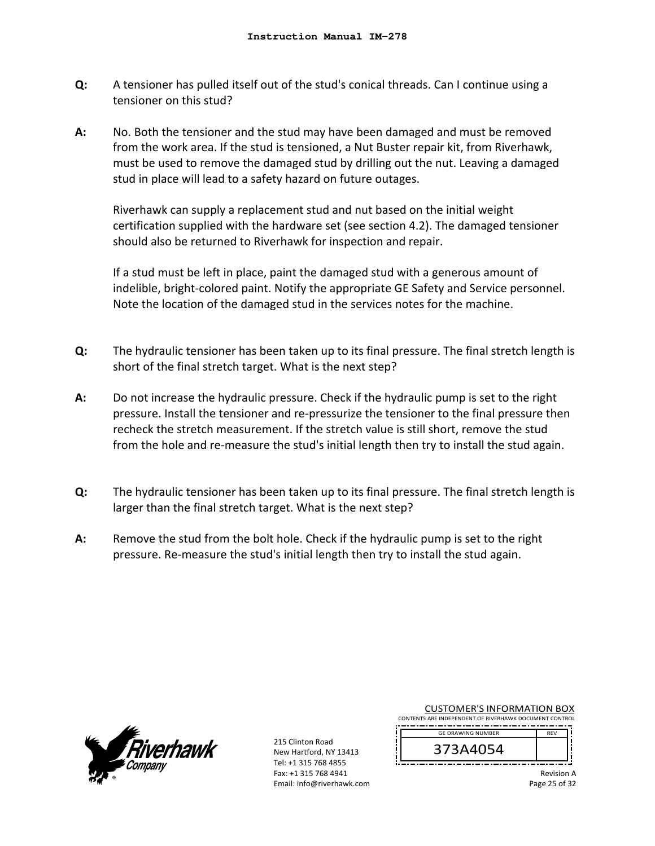- **Q:**  A tensioner has pulled itself out of the stud's conical threads. Can I continue using a tensioner on this stud?
- **A:**  No. Both the tensioner and the stud may have been damaged and must be removed from the work area. If the stud is tensioned, a Nut Buster repair kit, from Riverhawk, must be used to remove the damaged stud by drilling out the nut. Leaving a damaged stud in place will lead to a safety hazard on future outages.

Riverhawk can supply a replacement stud and nut based on the initial weight certification supplied with the hardware set (see section 4.2). The damaged tensioner should also be returned to Riverhawk for inspection and repair.

If a stud must be left in place, paint the damaged stud with a generous amount of indelible, bright‐colored paint. Notify the appropriate GE Safety and Service personnel. Note the location of the damaged stud in the services notes for the machine.

- **Q:**  The hydraulic tensioner has been taken up to its final pressure. The final stretch length is short of the final stretch target. What is the next step?
- **A:**  Do not increase the hydraulic pressure. Check if the hydraulic pump is set to the right pressure. Install the tensioner and re‐pressurize the tensioner to the final pressure then recheck the stretch measurement. If the stretch value is still short, remove the stud from the hole and re-measure the stud's initial length then try to install the stud again.
- **Q:**  The hydraulic tensioner has been taken up to its final pressure. The final stretch length is larger than the final stretch target. What is the next step?
- **A:**  Remove the stud from the bolt hole. Check if the hydraulic pump is set to the right pressure. Re‐measure the stud's initial length then try to install the stud again.



215 Clinton Road New Hartford, NY 13413 Tel: +1 315 768 4855 Fax: +1 315 768 4941 Email: info@riverhawk.com Ï

| <b>CUSTOMER'S INFORMATION BOX</b>                      |            |  |
|--------------------------------------------------------|------------|--|
| CONTENTS ARE INDEPENDENT OF RIVERHAWK DOCUMENT CONTROL |            |  |
| <b>GE DRAWING NUMBER</b>                               | <b>RFV</b> |  |
| 373A4054                                               |            |  |

Revision A

Page 25 of 32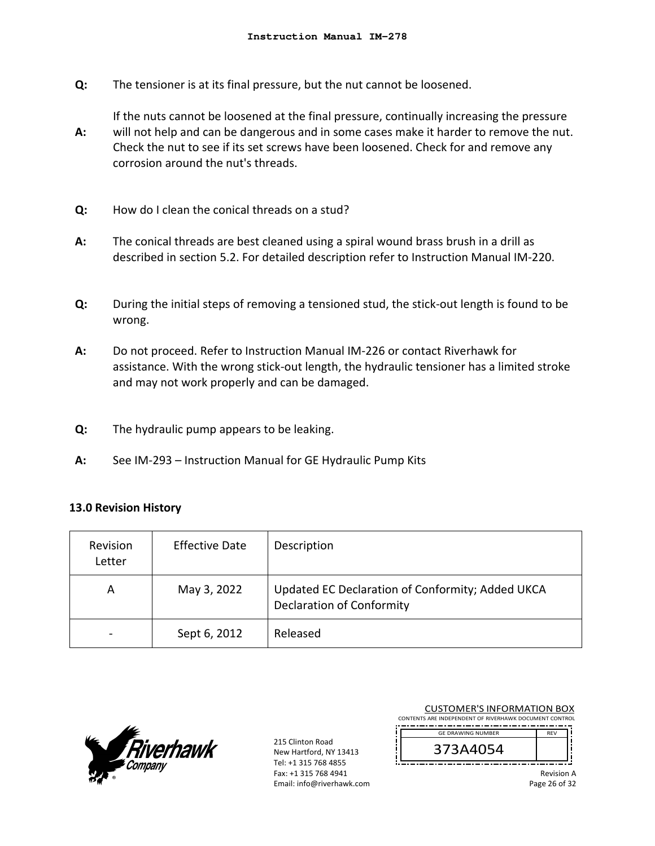**Q:**  The tensioner is at its final pressure, but the nut cannot be loosened.

If the nuts cannot be loosened at the final pressure, continually increasing the pressure

- **A:**  will not help and can be dangerous and in some cases make it harder to remove the nut. Check the nut to see if its set screws have been loosened. Check for and remove any corrosion around the nut's threads.
- **Q:**  How do I clean the conical threads on a stud?
- **A:**  The conical threads are best cleaned using a spiral wound brass brush in a drill as described in section 5.2. For detailed description refer to Instruction Manual IM‐220.
- **Q:**  During the initial steps of removing a tensioned stud, the stick‐out length is found to be wrong.
- **A:**  Do not proceed. Refer to Instruction Manual IM‐226 or contact Riverhawk for assistance. With the wrong stick‐out length, the hydraulic tensioner has a limited stroke and may not work properly and can be damaged.
- **Q:**  The hydraulic pump appears to be leaking.
- **A:**  See IM‐293 – Instruction Manual for GE Hydraulic Pump Kits

#### **13.0 Revision History**

| Revision<br>Letter | <b>Effective Date</b> | Description                                                                          |
|--------------------|-----------------------|--------------------------------------------------------------------------------------|
| А                  | May 3, 2022           | Updated EC Declaration of Conformity; Added UKCA<br><b>Declaration of Conformity</b> |
|                    | Sept 6, 2012          | Released                                                                             |



215 Clinton Road New Hartford, NY 13413 Tel: +1 315 768 4855 Fax: +1 315 768 4941 Email: info@riverhawk.com

| CONTENTS ARE INDEPENDENT OF RIVERHAWK DOCUMENT CONTROL<br><b>GE DRAWING NUMBER</b><br><b>RFV</b><br>373A4054 | <b>CUSTOMER'S INFORMATION BOX</b> |  |  |  |  |
|--------------------------------------------------------------------------------------------------------------|-----------------------------------|--|--|--|--|
|                                                                                                              |                                   |  |  |  |  |
|                                                                                                              |                                   |  |  |  |  |
|                                                                                                              |                                   |  |  |  |  |

Revision A Page 26 of 32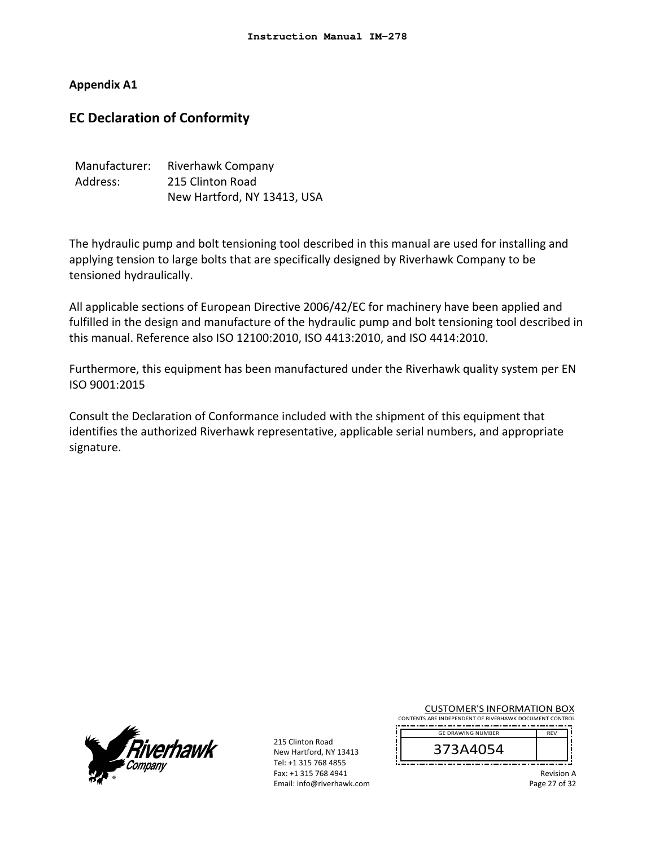## **Appendix A1**

# **EC Declaration of Conformity**

| Manufacturer: | Riverhawk Company           |
|---------------|-----------------------------|
| Address:      | 215 Clinton Road            |
|               | New Hartford, NY 13413, USA |

The hydraulic pump and bolt tensioning tool described in this manual are used for installing and applying tension to large bolts that are specifically designed by Riverhawk Company to be tensioned hydraulically.

All applicable sections of European Directive 2006/42/EC for machinery have been applied and fulfilled in the design and manufacture of the hydraulic pump and bolt tensioning tool described in this manual. Reference also ISO 12100:2010, ISO 4413:2010, and ISO 4414:2010.

Furthermore, this equipment has been manufactured under the Riverhawk quality system per EN ISO 9001:2015

Consult the Declaration of Conformance included with the shipment of this equipment that identifies the authorized Riverhawk representative, applicable serial numbers, and appropriate signature.



215 Clinton Road New Hartford, NY 13413 Tel: +1 315 768 4855 Fax: +1 315 768 4941 Email: info@riverhawk.com Ï

| <b>CUSTOMER'S INFORMATION BOX</b>                      |            |  |
|--------------------------------------------------------|------------|--|
| CONTENTS ARE INDEPENDENT OF RIVERHAWK DOCUMENT CONTROL |            |  |
| <b>GE DRAWING NUMBER</b>                               | <b>RFV</b> |  |
|                                                        |            |  |



Revision A

Page 27 of 32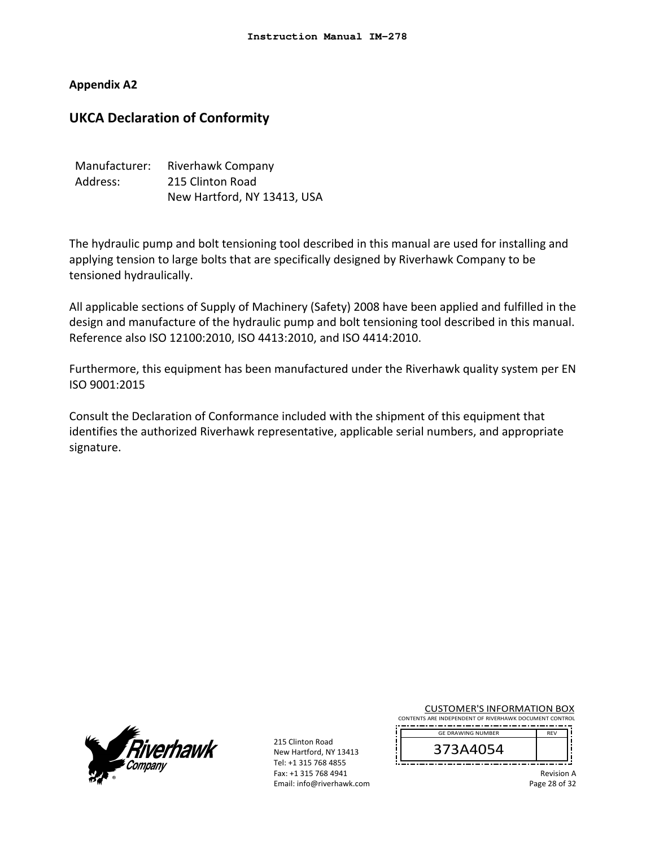## **Appendix A2**

# **UKCA Declaration of Conformity**

| Manufacturer: | Riverhawk Company           |
|---------------|-----------------------------|
| Address:      | 215 Clinton Road            |
|               | New Hartford, NY 13413, USA |

The hydraulic pump and bolt tensioning tool described in this manual are used for installing and applying tension to large bolts that are specifically designed by Riverhawk Company to be tensioned hydraulically.

All applicable sections of Supply of Machinery (Safety) 2008 have been applied and fulfilled in the design and manufacture of the hydraulic pump and bolt tensioning tool described in this manual. Reference also ISO 12100:2010, ISO 4413:2010, and ISO 4414:2010.

Furthermore, this equipment has been manufactured under the Riverhawk quality system per EN ISO 9001:2015

Consult the Declaration of Conformance included with the shipment of this equipment that identifies the authorized Riverhawk representative, applicable serial numbers, and appropriate signature.



215 Clinton Road New Hartford, NY 13413 Tel: +1 315 768 4855 Fax: +1 315 768 4941 Email: info@riverhawk.com

| <b>CUSTOMER'S INFORMATION BOX</b>                      |            |  |
|--------------------------------------------------------|------------|--|
| CONTENTS ARE INDEPENDENT OF RIVERHAWK DOCUMENT CONTROL |            |  |
| <b>GE DRAWING NUMBER</b>                               | <b>RFV</b> |  |
|                                                        |            |  |



ľ

Revision A

Page 28 of 32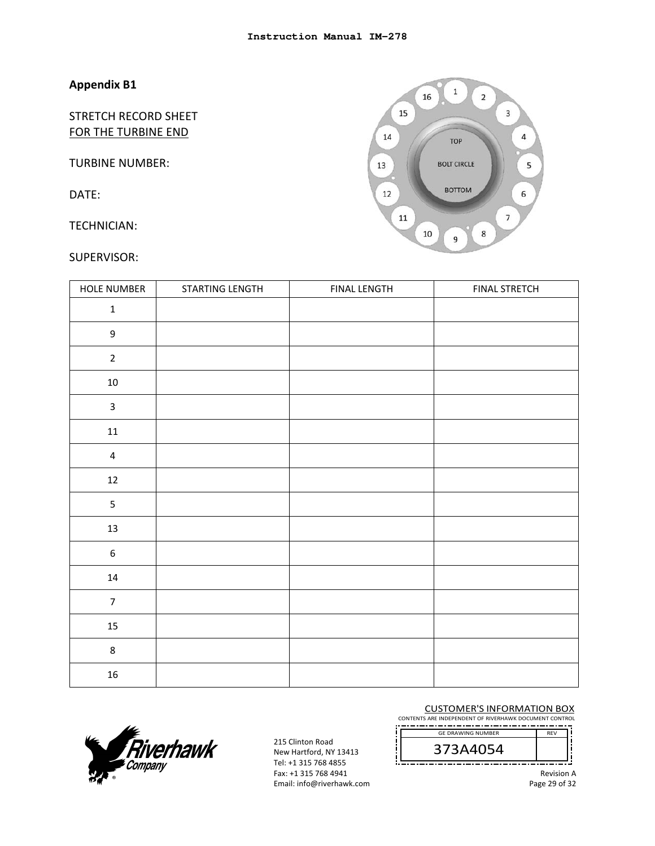STRETCH RECORD SHEET FOR THE TURBINE END

TURBINE NUMBER:

DATE:

TECHNICIAN:

#### SUPERVISOR:



| <b>HOLE NUMBER</b> | STARTING LENGTH | <b>FINAL LENGTH</b> | <b>FINAL STRETCH</b> |
|--------------------|-----------------|---------------------|----------------------|
| $\mathbf 1$        |                 |                     |                      |
| $\mathsf g$        |                 |                     |                      |
| $\overline{2}$     |                 |                     |                      |
| $10\,$             |                 |                     |                      |
| $\mathsf{3}$       |                 |                     |                      |
| $11\,$             |                 |                     |                      |
| $\overline{4}$     |                 |                     |                      |
| $12\,$             |                 |                     |                      |
| 5                  |                 |                     |                      |
| $13\,$             |                 |                     |                      |
| $\boldsymbol{6}$   |                 |                     |                      |
| $14\,$             |                 |                     |                      |
| $\overline{7}$     |                 |                     |                      |
| 15                 |                 |                     |                      |
| $\,8\,$            |                 |                     |                      |
| ${\bf 16}$         |                 |                     |                      |



215 Clinton Road New Hartford, NY 13413 Tel: +1 315 768 4855 Fax: +1 315 768 4941 Email: info@riverhawk.com CUSTOMER'S INFORMATION BOX

CONTENTS ARE INDEPENDENT OF RIVERHAWK DOCUMENT CONTROL REV GE DRAWING NUMBER

373A4054 

Revision A

Page 29 of 32

Ť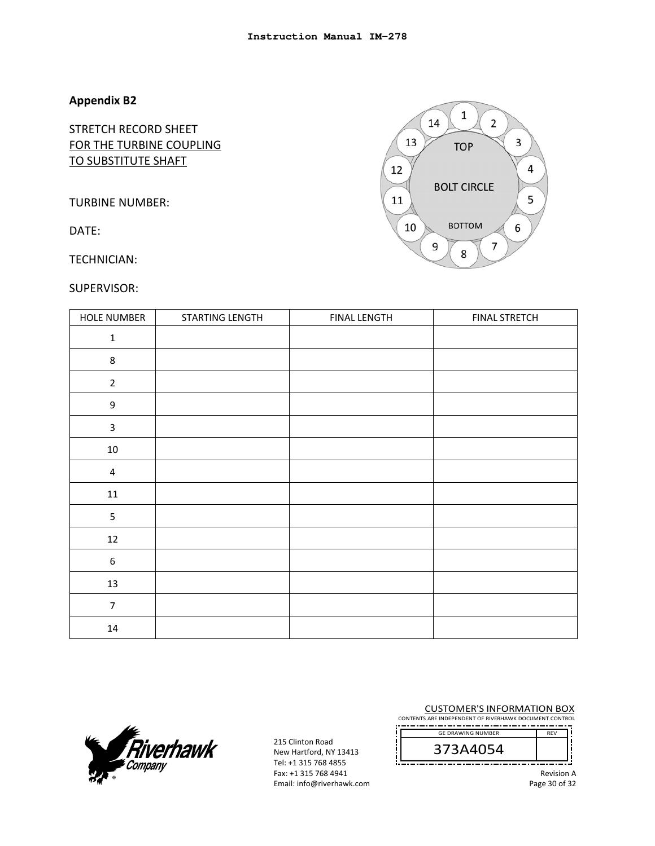STRETCH RECORD SHEET FOR THE TURBINE COUPLING TO SUBSTITUTE SHAFT

TURBINE NUMBER:

DATE:

TECHNICIAN:

#### SUPERVISOR:



| HOLE NUMBER             | STARTING LENGTH | <b>FINAL LENGTH</b> | <b>FINAL STRETCH</b> |
|-------------------------|-----------------|---------------------|----------------------|
| $\mathbf 1$             |                 |                     |                      |
| $\bf 8$                 |                 |                     |                      |
| $\mathbf 2$             |                 |                     |                      |
| $\mathsf 9$             |                 |                     |                      |
| $\overline{\mathbf{3}}$ |                 |                     |                      |
| $10\,$                  |                 |                     |                      |
| $\overline{\mathbf{4}}$ |                 |                     |                      |
| $11\,$                  |                 |                     |                      |
| 5                       |                 |                     |                      |
| $12\,$                  |                 |                     |                      |
| $\boldsymbol{6}$        |                 |                     |                      |
| $13\,$                  |                 |                     |                      |
| $\overline{7}$          |                 |                     |                      |
| $14\,$                  |                 |                     |                      |



215 Clinton Road New Hartford, NY 13413 Tel: +1 315 768 4855 Fax: +1 315 768 4941 Email: info@riverhawk.com

CUSTOMER'S INFORMATION BOX CONTENTS ARE INDEPENDENT OF RIVERHAWK DOCUMENT CONTROL

 REV GE DRAWING NUMBER

373A4054 -------------------------------------

Revision A

Page 30 of 32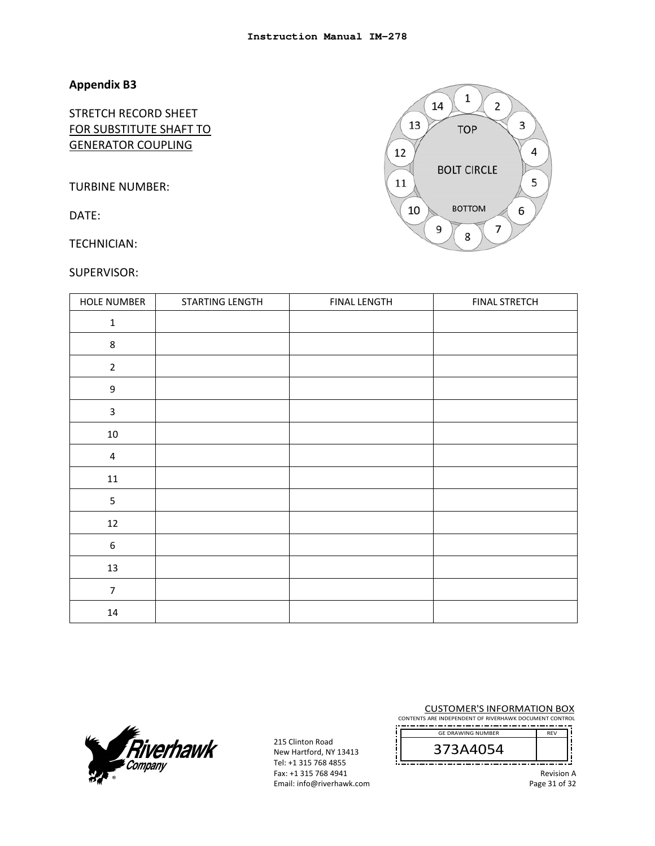# STRETCH RECORD SHEET FOR SUBSTITUTE SHAFT TO GENERATOR COUPLING

TURBINE NUMBER:

DATE:

TECHNICIAN:

#### SUPERVISOR:

| <b>HOLE NUMBER</b> | STARTING LENGTH | <b>FINAL LENGTH</b> | <b>FINAL STRETCH</b> |
|--------------------|-----------------|---------------------|----------------------|
| $\mathbf 1$        |                 |                     |                      |
| $\bf 8$            |                 |                     |                      |
| $\overline{2}$     |                 |                     |                      |
| $\mathsf 9$        |                 |                     |                      |
| $\mathsf{3}$       |                 |                     |                      |
| $10\,$             |                 |                     |                      |
| $\sqrt{4}$         |                 |                     |                      |
| $11\,$             |                 |                     |                      |
| $\mathsf S$        |                 |                     |                      |
| 12                 |                 |                     |                      |
| $\boldsymbol{6}$   |                 |                     |                      |
| 13                 |                 |                     |                      |
| $\overline{7}$     |                 |                     |                      |
| $14\,$             |                 |                     |                      |



215 Clinton Road New Hartford, NY 13413 Tel: +1 315 768 4855 Fax: +1 315 768 4941 Email: info@riverhawk.com

CUSTOMER'S INFORMATION BOX CONTENTS ARE INDEPENDENT OF RIVERHAWK DOCUMENT CONTROL

 REV GE DRAWING NUMBER



Revision A

Page 31 of 32

Ť